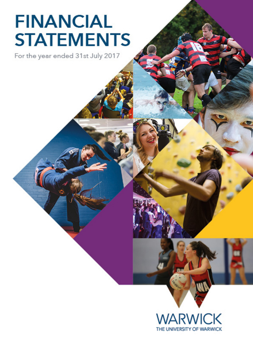# **FINANCIAL STATEMENTS**

For the year ended 31st July 2017

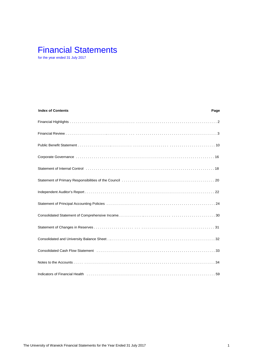# Financial Statements

for the year ended 31 July 2017

| <b>Index of Contents</b>                                                                                          | Page |
|-------------------------------------------------------------------------------------------------------------------|------|
|                                                                                                                   |      |
|                                                                                                                   |      |
|                                                                                                                   |      |
|                                                                                                                   |      |
|                                                                                                                   |      |
|                                                                                                                   |      |
|                                                                                                                   |      |
|                                                                                                                   |      |
|                                                                                                                   |      |
|                                                                                                                   |      |
|                                                                                                                   |      |
| Consolidated Cash Flow Statement (etc. b) and contain the consolidated Cash Consolidated Cash Flow Statement (    |      |
|                                                                                                                   |      |
| Indicators of Financial Health (all contact and all contact and all contact and all contact and the state of $59$ |      |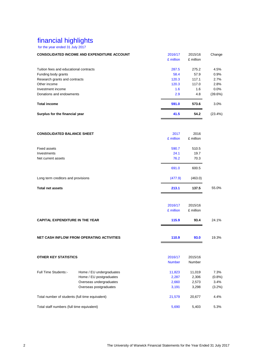# financial highlights

for the year ended 31 July 2017

| for the year ended 31 July 2017                 |                                                    |               |           |         |
|-------------------------------------------------|----------------------------------------------------|---------------|-----------|---------|
|                                                 | <b>CONSOLIDATED INCOME AND EXPENDITURE ACCOUNT</b> | 2016/17       | 2015/16   | Change  |
|                                                 |                                                    | £ million     | £ million |         |
|                                                 |                                                    |               |           |         |
| Tuition fees and educational contracts          |                                                    | 287.5         | 275.2     | 4.5%    |
| Funding body grants                             |                                                    | 58.4          | 57.9      | 0.9%    |
| Research grants and contracts                   |                                                    | 120.3         | 117.1     | 2.7%    |
| Other income                                    |                                                    | 120.3         | 117.0     | 2.8%    |
| Investment income                               |                                                    | 1.6           | 1.6       | 0.0%    |
| Donations and endowments                        |                                                    | 2.9           | 4.8       | (39.6%) |
| <b>Total income</b>                             |                                                    | 591.0         | 573.6     | 3.0%    |
| Surplus for the financial year                  |                                                    | 41.5          | 54.2      | (23.4%) |
|                                                 |                                                    |               |           |         |
| <b>CONSOLIDATED BALANCE SHEET</b>               |                                                    | 2017          | 2016      |         |
|                                                 |                                                    | £ million     | £ million |         |
|                                                 |                                                    |               |           |         |
| <b>Fixed assets</b>                             |                                                    | 590.7         | 510.5     |         |
| Investments                                     |                                                    | 24.1          | 19.7      |         |
| Net current assets                              |                                                    | 76.2          | 70.3      |         |
|                                                 |                                                    | 691.0         | 600.5     |         |
| Long term creditors and provisions              |                                                    | (477.9)       | (463.0)   |         |
| <b>Total net assets</b>                         |                                                    | 213.1         | 137.5     | 55.0%   |
|                                                 |                                                    |               |           |         |
|                                                 |                                                    | 2016/17       | 2015/16   |         |
|                                                 |                                                    | £ million     | £ million |         |
| <b>CAPITAL EXPENDITURE IN THE YEAR</b>          |                                                    | 115.9         | 93.4      | 24.1%   |
|                                                 |                                                    |               |           |         |
|                                                 | <b>NET CASH INFLOW FROM OPERATING ACTIVITIES</b>   | 110.9         | 93.0      | 19.3%   |
|                                                 |                                                    |               |           |         |
| <b>OTHER KEY STATISTICS</b>                     |                                                    | 2016/17       | 2015/16   |         |
|                                                 |                                                    | <b>Number</b> | Number    |         |
| Full Time Students:-                            | Home / EU undergraduates                           | 11,823        | 11,019    | 7.3%    |
|                                                 | Home / EU postgraduates                            | 2,287         | 2,306     | (0.8%)  |
|                                                 | Overseas undergraduates                            | 2,660         | 2,573     | 3.4%    |
|                                                 | Overseas postgraduates                             | 3,191         | 3,298     | (3.2%)  |
| Total number of students (full time equivalent) |                                                    | 21,579        | 20,677    | 4.4%    |
|                                                 |                                                    |               |           |         |
| Total staff numbers (full time equivalent)      |                                                    | 5,690         | 5,403     | 5.3%    |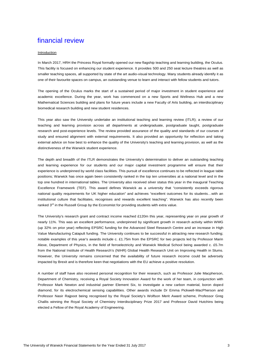#### Introduction

In March 2017, HRH the Princess Royal formally opened our new flagship teaching and learning building, the Oculus. This facility is focused on enhancing our student experience. It provides 500 and 250 seat lecture theatres as well as smaller teaching spaces, all supported by state of the art audio-visual technology. Many students already identify it as one of their favourite spaces on campus, an outstanding venue to learn and interact with fellow students and tutors.

The opening of the Oculus marks the start of a sustained period of major investment in student experience and academic excellence. During the year, work has commenced on a new Sports and Wellness Hub and a new Mathematical Sciences building and plans for future years include a new Faculty of Arts building, an interdisciplinary biomedical research building and new student residences.

This year also saw the University undertake an institutional teaching and learning review (ITLR); a review of our teaching and learning provision across all departments at undergraduate, postgraduate taught, postgraduate research and post-experience levels. The review provided assurance of the quality and standards of our courses of study and ensured alignment with external requirements. It also provided an opportunity for reflection and taking external advice on how best to enhance the quality of the University's teaching and learning provision, as well as the distinctiveness of the Warwick student experience.

The depth and breadth of the ITLR demonstrates the University's determination to deliver an outstanding teaching and learning experience for our students and our major capital investment programme will ensure that their experience is underpinned by world class facilities. This pursuit of excellence continues to be reflected in league table positions; Warwick has once again been consistently ranked in the top ten universities at a national level and in the top one hundred in international tables. The University also received silver status this year in the inaugural Teaching Excellence Framework (TEF). This award defines Warwick as a university that "consistently exceeds rigorous national quality requirements for UK higher education" and achieves "excellent outcomes for its students…with an institutional culture that facilitates, recognises and rewards excellent teaching". Warwick has also recently been ranked  $3<sup>rd</sup>$  in the Russell Group by the Economist for providing students with extra value.

The University's research grant and contract income reached £120m this year, representing year on year growth of nearly 11%. This was an excellent performance, underpinned by significant growth in research activity within WMG (up 32% on prior year) reflecting EPSRC funding for the Advanced Steel Research Centre and an increase in High Value Manufacturing Catapult funding. The University continues to be successful in attracting new research funding; notable examples of this year's awards include c. £1.75m from the EPSRC for two projects led by Professor Marin Alexe, Department of Physics, in the field of ferroelectricity and Warwick Medical School being awarded c. £5.7m from the National Institute of Health Research's (NIHR) Global Health Research Unit on Improving Health in Slums. However, the University remains concerned that the availability of future research income could be adversely impacted by Brexit and is therefore keen that negotiations with the EU achieve a positive resolution.

A number of staff have also received personal recognition for their research, such as Professor Julie Macpherson, Department of Chemistry, receiving a Royal Society Innovation Award for the work of her team, in conjunction with Professor Mark Newton and industrial partner Element Six, to investigate a new carbon material, boron doped diamond, for its electrochemical sensing capabilities. Other awards include Dr Emma Pickwell-MacPherson and Professor Nasir Rajpoot being recognised by the Royal Society's Wolfson Merit Award scheme, Professor Greg Challis winning the Royal Society of Chemistry Interdisciplinary Prize 2017 and Professor David Hutchins being elected a Fellow of the Royal Academy of Engineering.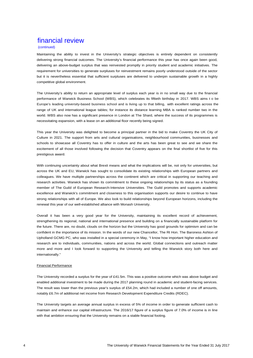#### (continued)

Maintaining the ability to invest in the University's strategic objectives is entirely dependent on consistently delivering strong financial outcomes. The University's financial performance this year has once again been good, delivering an above-budget surplus that was reinvested promptly in priority student and academic initiatives. The requirement for universities to generate surpluses for reinvestment remains poorly understood outside of the sector but it is nevertheless essential that sufficient surpluses are delivered to underpin sustainable growth in a highly competitive global environment.

The University's ability to return an appropriate level of surplus each year is in no small way due to the financial performance of Warwick Business School (WBS), which celebrates its fiftieth birthday in 2017. WBS aims t o be Europe's leading university-based business school and is living up to that billing, with excellent ratings across the range of UK and international league tables; for instance its distance learning MBA is ranked number two in the world. WBS also now has a significant presence in London at The Shard, where the success of its programmes is necessitating expansion, with a lease on an additional floor recently being signed.

This year the University was delighted to become a principal partner in the bid to make Coventry the UK City of Culture in 2021. The support from arts and cultural organisations, neighbourhood communities, businesses and schools to showcase all Coventry has to offer in culture and the arts has been great to see and we share the excitement of all those involved following the decision that Coventry appears on the final shortlist of five for this prestigious award.

With continuing uncertainty about what Brexit means and what the implications will be, not only for universities, but across the UK and EU, Warwick has sought to consolidate its existing relationships with European partners and colleagues. We have multiple partnerships across the continent which are critical in supporting our teaching and research activities. Warwick has shown its commitment to these ongoing relationships by its status as a founding member of The Guild of European Research-Intensive Universities. The Guild promotes and supports academic excellence and Warwick's commitment and closeness to this organisation supports our desire to continue to have strong relationships with all of Europe. We also look to build relationships beyond European horizons, including the renewal this year of our well-established alliance with Monash University.

Overall it has been a very good year for the University, maintaining its excellent record of achievement, strengthening its regional, national and international presence and building on a financially sustainable platform for the future. There are, no doubt, clouds on the horizon but the University has good grounds for optimism and can be confident in the importance of its mission. In the words of our new Chancellor, The Rt Hon. The Baroness Ashton of Upholland GCMG PC, who was installed in a special ceremony in May, "I know how important higher education and research are to individuals, communities, nations and across the world. Global connections and outreach matter more and more and I look forward to supporting the University and telling the Warwick story both here and internationally."

#### Financial Performance

The University recorded a surplus for the year of £41.5m. This was a positive outcome which was above budget and enabled additional investment to be made during the 2017 planning round in academic and student-facing services. The result was lower than the previous year's surplus of £54.2m, which had included a number of one off amounts, notably £6.7m of additional net income from Research Development Expenditure Credits (RDEC).

The University targets an average annual surplus in excess of 5% of income in order to generate sufficient cash to maintain and enhance our capital infrastructure. The 2016/17 figure of a surplus figure of 7.0% of income is in line with that ambition ensuring that the University remains on a stable financial footing.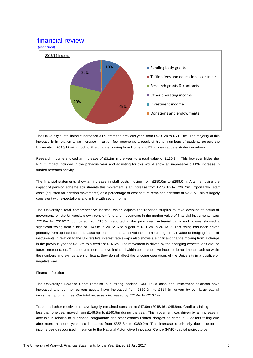

The University's total income increased 3.0% from the previous year, from £573.6m to £591.0 m. The majority of this increase is in relation to an increase in tuition fee income as a result of higher numbers of students acros s the University in 2016/17 with much of this change coming from Home and EU undergraduate student numbers.

Research income showed an increase of £3.2m in the year to a total value of £120.3m. This however hides the RDEC impact included in the previous year and adjusting for this would show an impressive c.11% increase in funded research activity.

The financial statements show an increase in staff costs moving from £280.0m to £298.0 m. After removing the impact of pension scheme adjustments this movement is an increase from £276.3m to £296.2m. Importantly , staff costs (adjusted for pension movements) as a percentage of expenditure remained constant at 53.7 %. This is largely consistent with expectations and in line with sector norms.

The University's total comprehensive income, which adjusts the reported surplus to take account of actuarial movements on the University's own pension fund and movements in the market value of financial instruments, was £75.6m for 2016/17, compared with £18.5m reported in the prior year. Actuarial gains and losses showed a significant swing from a loss of £14.5m in 2015/16 to a gain of £19.5m in 2016/17. This swing has been driven primarily from updated actuarial assumptions from the latest valuation. The change in fair value of hedging financial instruments in relation to the University's interest rate swaps also shows a significant change moving from a charge in the previous year of £21.2m to a credit of £14.6m. The movement is driven by the changing expectations around future interest rates. The amounts noted above included within comprehensive income do not impact cash so while the numbers and swings are significant, they do not affect the ongoing operations of the University in a positive or negative way.

### Financial Position

The University's Balance Sheet remains in a strong position. Our liquid cash and investment balances have increased and our non-current assets have increased from £530.2m to £614.8m driven by our large capital investment programmes. Our total net assets increased by £75.6m to £213.1m.

Trade and other receivables have largely remained constant at £47.9m (2015/16 : £45.8m). Creditors falling due in less than one year moved from £146.5m to £160.5m during the year. This movement was driven by an increase in accruals in relation to our capital programme and other estates related charges on campus. Creditors falling due after more than one year also increased from £358.8m to £389.2m. This increase is primarily due to deferred income being recognised in relation to the National Automotive Innovation Centre (NAIC) capital project to be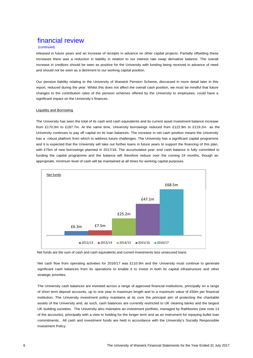### (continued)

released in future years and an increase of receipts in advance on other capital projects. Partially offsetting these increases there was a reduction in liability in relation to our interest rate swap derivative balance. The overall increase in creditors should be seen as positive for the University with funding being received in advance of need and should not be seen as a detriment to our working capital position.

Our pension liability relating to the University of Warwick Pension Scheme, discussed in more detail later in this report, reduced during the year. Whilst this does not affect the overall cash position, we must be mindful that future changes to the contribution rates of the pension schemes offered by the University to employees, could have a significant impact on the University's finances.

### Liquidity and Borrowing

The University has seen the total of its cash and cash equivalents and its current asset investment balance increase from £170.0m to £187.7m. At the same time, University borrowings reduced from £122.9m to £119.2m as the University continues to pay off capital on its loan balances. The increase in net cash position means the University has a robust platform from which to address future challenges. The University has a significant capital programme and it is expected that the University will take out further loans in future years to support the financing of this plan, with £75m of new borrowings planned in 2017/18. The accumulated year -end cash balance is fully committed to funding the capital programme and the balance will therefore reduce over the coming 24 months, though an appropriate, minimum level of cash will be maintained at all times for working capital purposes.



Net funds are the sum of cash and cash equivalents and current investments less unsecured loans.

Net cash flow from operating activities for 2016/17 was £110.9m and the University must continue to generate significant cash balances from its operations to enable it to invest in both its capital infrastructure and other strategic priorities.

The University cash balances are invested across a range of approved financial institutions, principally on a range of short term deposit accounts, up to one year in maximum length and to a maximum value of £50m per financial institution. The University investment policy maintains at its core the principal aim of protecting the charitable assets of the University and, as such, cash balances are currently restricted to UK clearing banks and the largest UK building societies. The University also maintains an investment portfolio, managed by Rathbones (see note 13 of the accounts), principally with a view to holding for the longer term and as an instrument for repaying bullet loan commitments. All cash and investment funds are held in accordance with the University's Socially Responsible Investment Policy.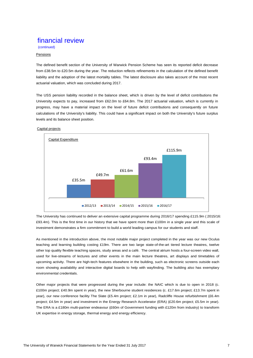(continued)

### Pensions

The defined benefit section of the University of Warwick Pension Scheme has seen its reported deficit decrease from £38.5m to £20.5m during the year. The reduction reflects refinements in the calculation of the defined benefit liability and the adoption of the latest mortality tables. The latest disclosure also takes account of the most recent actuarial valuation, which was concluded during 2017.

The USS pension liability recorded in the balance sheet, which is driven by the level of deficit contributions the University expects to pay, increased from £62.0m to £64.8m. The 2017 actuarial valuation, which is currently in progress, may have a material impact on the level of future deficit contributions and consequently on future calculations of the University's liability. This could have a significant impact on both the University's future surplus levels and its balance sheet position.

### Capital projects



The University has continued to deliver an extensive capital programme during 2016/17 spending £115.9m ( 2015/16: £93.4m). This is the first time in our history that we have spent more than £100m in a single year and this scale of investment demonstrates a firm commitment to build a world leading campus for our students and staff.

As mentioned in the introduction above, the most notable major project completed in the year was our new Oculus teaching and learning building costing £19m. There are two large state-of-the-art tiered lecture theatres, twelve other top quality flexible teaching spaces, study areas and a café. The central atrium hosts a four-screen video wall, used for live-streams of lectures and other events in the main lecture theatres, art displays and timetables of upcoming activity. There are high-tech features elsewhere in the building, such as electronic screens outside each room showing availability and interactive digital boards to help with wayfinding. The building also has exemplary environmental credentials.

Other major projects that were progressed during the year include: the NAIC which is due to open in 2018 (c. £100m project; £40.9m spent in year), the new Sherbourne student residences (c. £17.6m project; £13.7m spent in year), our new conference facility The Slate (£5.4m project; £2.1m in year), Radcliffe House refurbishment (£6.4m project; £4.5m in year) and investment in the Energy Research Accelerator (ERA) (£20.6m project; £5.5m in year). The ERA is a £180m multi-partner endeavour (£60m of Government funding with £120m from industry) to transform UK expertise in energy storage, thermal energy and energy efficiency.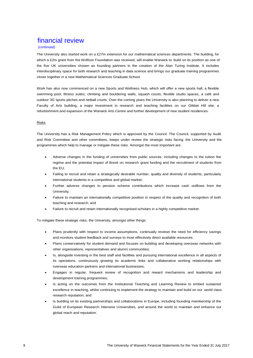### (continued)

The University also started work on a £27m extension for our mathematical sciences departments. The building, for which a £2m grant from the Wolfson Foundation was received, will enable Warwick to build on its position as one of the five UK universities chosen as founding partners in the creation of the Alan Turing Institute. It includes interdisciplinary space for both research and teaching in data science and brings our graduate training programmes closer together in a new Mathematical Sciences Graduate School.

Work has also now commenced on a new Sports and Wellness Hub, which will offer a new sports hall, a flexible swimming pool, fitness suites, climbing and bouldering walls, squash courts, flexible studio spaces, a café and outdoor 3G sports pitches and netball courts. Over the coming years the University is also planning to deliver a new Faculty of Arts building, a major investment in research and teaching facilities on our Gibbet Hill site, a refurbishment and expansion of the Warwick Arts Centre and further development of new student residences.

### Risks

The University has a Risk Management Policy which is approved by the Council. The Council, supported by Audit and Risk Committee and other committees, keeps under review the strategic risks facing the University and the programmes which help to manage or mitigate these risks. Amongst the most important are:

- Adverse changes in the funding of universities from public sources, including changes to the tuition fee regime and the potential impact of Brexit on research grant funding and the recruitment of students from the EU;
- Failing to recruit and retain a strategically desirable number, quality and diversity of students, particularly international students in a competitive and global market;
- Further adverse changes to pension scheme contributions which increase cash outflows from the University;
- Failure to maintain an internationally competitive position in respect of the quality and recognition of both teaching and research; and
- Failure to recruit and retain internationally recognised scholars in a highly competitive market.

To mitigate these strategic risks, the University, amongst other things:

- Plans prudently with respect to income assumptions, continually reviews the need for efficiency savings and monitors student feedback and surveys to most effectively direct available resources;
- Plans conservatively for student demand and focuses on building and developing overseas networks with other organisations, representatives and alumni communities;
- Is, alongside investing in the best staff and facilities and pursuing international excellence in all aspects of its operations, continuously growing its academic links and collaborative working relationships with overseas education partners and international businesses;
- Engages in regular, frequent review of recognition and reward mechanisms and leadership and development training programmes;
- Is acting on the outcomes from the Institutional Teaching and Learning Review to embed sustained excellence in teaching, whilst continuing to implement the strategy to maintain and build on our world class research reputation; and
- Is building on its existing partnerships and collaborations in Europe, including founding membership of the Guild of European Research Intensive Universities, and around the world to maintain and enhance our global reach and reputation.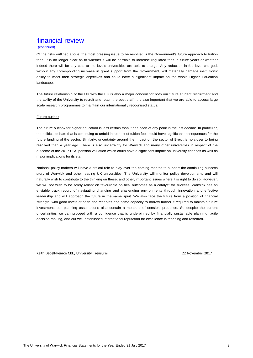### (continued)

Of the risks outlined above, the most pressing issue to be resolved is the Government's future approach to tuition fees. It is no longer clear as to whether it will be possible to increase regulated fees in future years or whether indeed there will be any cuts to the levels universities are able to charge. Any reduction in fee level charged, without any corresponding increase in grant support from the Government, will materially damage institutions' ability to meet their strategic objectives and could have a significant impact on the whole Higher Education landscape.

The future relationship of the UK with the EU is also a major concern for both our future student recruitment and the ability of the University to recruit and retain the best staff. It is also important that we are able to access large scale research programmes to maintain our internationally recognised status.

### Future outlook

The future outlook for higher education is less certain than it has been at any point in the last decade. In particular, the political debate that is continuing to unfold in respect of tuition fees could have significant consequences for the future funding of the sector. Similarly, uncertainty around the impact on the sector of Brexit is no closer to being resolved than a year ago. There is also uncertainty for Warwick and many other universities in respect of the outcome of the 2017 USS pension valuation which could have a significant impact on university finances as well as major implications for its staff.

National policy-makers will have a critical role to play over the coming months to support the continuing success story of Warwick and other leading UK universities. The University will monitor policy developments and will naturally wish to contribute to the thinking on these, and other, important issues where it is right to do so. However, we will not wish to be solely reliant on favourable political outcomes as a catalyst for success. Warwick has an enviable track record of navigating changing and challenging environments through innovation and effective leadership and will approach the future in the same spirit. We also face the future from a position of financial strength, with good levels of cash and reserves and some capacity to borrow further if required to maintain future investment; our planning assumptions also contain a measure of sensible prudence. So despite the current uncertainties we can proceed with a confidence that is underpinned by financially sustainable planning, agile decision-making, and our well-established international reputation for excellence in teaching and research.

Keith Bedell-Pearce CBE, University Treasurer 22 November 2017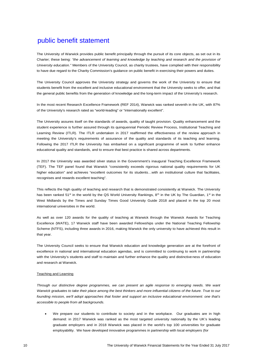The University of Warwick provides public benefit principally through the pursuit of its core objects, as set out in its Charter; these being: *"the advancement of learning and knowledge by teaching and research and the provision of University education."* Members of the University Council, as charity trustees, have complied with their responsibility to have due regard to the Charity Commission's guidance on public benefit in exercising their powers and duties.

The University Council approves the University strategy and governs the work of the University to ensure that students benefit from the excellent and inclusive educational environment that the University seeks to offer, and that the general public benefits from the generation of knowledge and the long-term impact of the University's research.

In the most recent Research Excellence Framework (REF 2014), Warwick was ranked seventh in the UK, with 87% of the University's research rated as "world-leading" or "internationally excellent".

The University assures itself on the standards of awards, quality of taught provision. Quality enhancement and the student experience is further assured through its quinquennial Periodic Review Process, Institutional Teaching and Learning Review (ITLR). The ITLR undertaken in 2017 reaffirmed the effectiveness of the review approach in meeting the University's requirements of assurance of the quality and standards of its teaching and learning. Following the 2017 ITLR the University has embarked on a significant programme of work to further enhance educational quality and standards, and to ensure that best practice is shared across departments.

In 2017 the University was awarded silver status in the Government's inaugural Teaching Excellence Framework (TEF). The TEF panel found that Warwick "consistently exceeds rigorous national quality requirements for UK higher education" and achieves "excellent outcomes for its students...with an institutional culture that facilitates, recognises and rewards excellent teaching".

This reflects the high quality of teaching and research that is demonstrated consistently at Warwick. The University has been ranked 51<sup>st</sup> in the world by the QS World University Rankings,  $8<sup>th</sup>$  in the UK by The Guardian, 1<sup>st</sup> in the West Midlands by the Times and Sunday Times Good University Guide 2018 and placed in the top 20 most international universities in the world.

As well as over 120 awards for the quality of teaching at Warwick through the Warwick Awards for Teaching Excellence (WATE), 17 Warwick staff have been awarded Fellowships under the National Teaching Fellowship Scheme (NTFS), including three awards in 2016, making Warwick the only university to have achieved this result in that year.

The University Council seeks to ensure that Warwick education and knowledge generation are at the forefront of excellence in national and international education agendas, and is committed to continuing to work in partnership with the University's students and staff to maintain and further enhance the quality and distinctive ness of education and research at Warwick.

### Teaching and Learning

*Through our distinctive degree programmes, we can present an agile response to emerging needs. We want Warwick graduates to take their place among the best thinkers and more influential citizens of the future. True to our founding mission, we'll adopt approaches that foster and support an inclusive educational environment: one that's accessible to people from all backgrounds.*

 We prepare our students to contribute to society and in the workplace. Our graduates are in high demand: in 2017 Warwick was ranked as the most targeted university nationally by the UK's leading graduate employers and in 2018 Warwick was placed in the world's top 100 universities for graduate employability. We have developed innovative programmes in partnership with local employers (for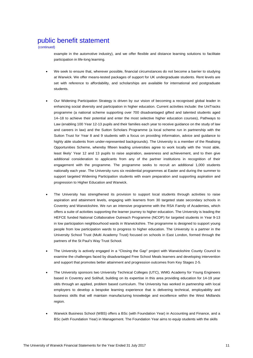(continued)

example in the automotive industry), and we offer flexible and distance learning solutions to facilitate participation in life-long learning.

- We seek to ensure that, wherever possible, financial circumstances do not become a barrier to studying at Warwick. We offer means-tested packages of support for UK undergraduate students. Rent levels are set with reference to affordability, and scholarships are available for international and postgraduate students.
- Our Widening Participation Strategy is driven by our vision of becoming a recognised global leader in enhancing social diversity and participation in higher education. Current activities include: the UniTracks programme (a national scheme supporting over 700 disadvantaged gifted and talented students aged 14–18 to achieve their potential and enter the most selective higher education courses), Pathways to Law (enabling 100 Year 12-13 pupils and their families each year to receive guidance on the study of law and careers in law) and the Sutton Scholars Programme (a local scheme run in partnership with the Sutton Trust for Year 8 and 9 students with a focus on providing information, advice and guidance to highly able students from under-represented backgrounds). The University is a member of the Realising Opportunities Scheme, whereby fifteen leading universities agree to work locally with the 'most able, least likely' Year 12 and 13 pupils to raise aspiration, awareness and achievement, and to then give additional consideration to applicants from any of the partner institutions in recognition of their engagement with the programme. The programme seeks to recruit an additional 1,000 students nationally each year. The University runs six residential programmes at Easter and during the summer to support targeted Widening Participation students with exam preparation and supporting aspiration and progression to Higher Education and Warwick.
- The University has strengthened its provision to support local students through activities to raise aspiration and attainment levels, engaging with learners from 30 targeted state secondary schools in Coventry and Warwickshire. We run an intensive programme with the RSA Family of Academies, which offers a suite of activities supporting the learner journey to higher education. The University is leading the HEFCE funded National Collaborative Outreach Programme (NCOP) for targeted students in Year 9-13 in low participation neighbourhood wards in Warwickshire. The programme is designed to support young people from low participation wards to progress to higher education. The University is a partner in the University School Trust (Multi Academy Trust) focused on schools in East London, formed through the partners of the St Paul's Way Trust School.
- The University is actively engaged in a "Closing the Gap" project with Warwickshire County Council to examine the challenges faced by disadvantaged Free School Meals learners and developing intervention and support that promotes better attainment and progression outcomes from Key Stages 2-5.
- The University sponsors two University Technical Colleges (UTC), WMG Academy for Young Engineers based in Coventry and Solihull, building on its expertise in this area providing education for 14-19 year olds through an applied, problem based curriculum. The University has worked in partnership with local employers to develop a bespoke learning experience that is delivering technical, employability and business skills that will maintain manufacturing knowledge and excellence within the West Midlands region.
- Warwick Business School (WBS) offers a BSc (with Foundation Year) in Accounting and Finance, and a BSc (with Foundation Year) in Management. The Foundation Year aims to equip students with the skills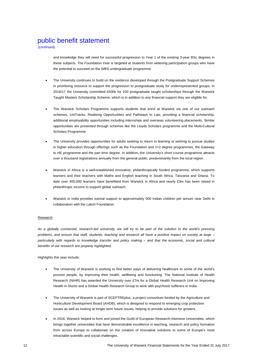(continued)

and knowledge they will need for successful progression to Year 1 of the existing 3-year BSc degrees in these subjects. The Foundation Year is targeted at students from widening participation groups who have the potential to succeed on the WBS undergraduate programme.

- The University continues to build on the evidence developed through the Postgraduate Support Schemes in prioritising resource to support the progression to postgraduate study for underrepresented groups. In 2016/17 the University committed £500k for 100 postgraduate taught scholarships through the Warwick Taught Masters Scholarship Scheme, which is in addition to any financial support they are eligible for.
- The Warwick Scholars Programme supports students that enrol at Warwick via one of our outreach schemes, UniTracks, Realising Opportunities and Pathways to Law, providing a financial scholarship, additional employability opportunities including internships and overseas volunteering placements. Similar opportunities are presented through schemes like the Lloyds Scholars programme and the Multi-Cultural Scholars Programme.
- The University provides opportunities for adults seeking to return to learning or wishing to pursue studies in higher education through offerings such as the Foundation and 2+2 degree programmes, the Gateway to HE programme and the part time degree. In addition, the University's short course programme attracts over a thousand registrations annually from the general public, predominantly from the local region.
- Warwick in Africa is a well-established innovative, philanthropically funded programme, which supports learners and their teachers with Maths and English teaching in South Africa, Tanzania and Ghana. To date over 400,000 learners have benefitted from Warwick in Africa and nearly £3m has been raised in philanthropic income to support global outreach.
- Warwick in India provides tutorial support to approximately 500 Indian children per annum near Delhi in collaboration with the Laksh Foundation.

### Research

*As a globally connected, research-led university, we will try to be part of the solution to the world's pressing problems, and ensure that staff, students, teaching and research all have a positive impact on society at large – particularly with regards to knowledge transfer and policy making – and that the economic, social and cultural benefits of our research are properly highlighted.*

Highlights this year include:

- The University of Warwick is working to find better ways of delivering healthcare to some of the world's poorest people, by improving their health, wellbeing and functioning. The National Institute of Health Research (NIHR) has awarded the University over £7m for a Global Health Research Unit on Improving Health in Slums and a Global Health Research Group to work with psychosis sufferers in India.
- The University of Warwick is part of SCEPTREplus, a project consortium funded by the Agriculture and Horticulture Development Board (AHDB), which is designed to respond to emerging crop protection issues as well as looking at longer term future issues, helping to provide solutions for growers.
- In 2016, Warwick helped to form and joined the Guild of European Research-Intensive Universities, which brings together universities that have demonstrable excellence in teaching, research and policy formation from across Europe to collaborate on the creation of innovative solutions to some of Europe's most intractable scientific and social challenges.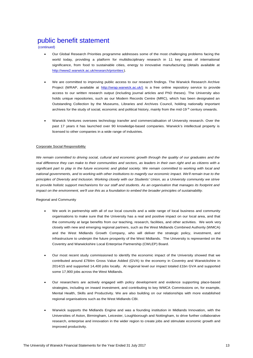(continued)

- Our Global Research Priorities programme addresses some of the most challenging problems facing the world today, providing a platform for multidisciplinary research in 11 key areas of international significance, from food to sustainable cities, energy to innovative manufacturing (details available at http://www2.warwick.ac.uk/research/priorities ).
- We are committed to improving public access to our research findings. The Warwick Research Archive Project (WRAP, available at http://wrap.warwick.ac.uk/) is a free online repository service to provide access to our written research output (including journal articles and PhD theses). The University also holds unique repositories, such as our Modern Records Centre (MRC), which has been designated an Outstanding Collection by the Museums, Libraries and Archives Council, holding nationally important archives for the study of social, economic and political history, mainly from the mid-19<sup>th</sup> century onwards.
- Warwick Ventures oversees technology transfer and commercialisation of University research. Over the past 17 years it has launched over 90 knowledge-based companies. Warwick's intellectual property is licensed to other companies in a wide range of industries.

### Corporate Social Responsibility

*We remain committed to driving social, cultural and economic growth through the quality of our graduates and the real difference they can make to their communities and sectors, as leaders in their own right and as citizens with a significant part to play in the future economic and global society. We remain committed to working with local and national governments, and to working with other institutions to magnify our economic impact. We'll remain true to the principles of Diversity and Inclusion. Working closely with our Students' Union, as a University community we strive to provide holistic support mechanisms for our staff and students. As an organisation that manages its footprint and impact on the environment, we'll use this as a foundation to embed the broader principles of sustainability.*

### Regional and Community

- We work in partnership with all of our local councils and a wide range of local business and community organisations to make sure that the University has a real and positive impact on our local area, and that the community at large benefits from our teaching, research, facilities, and other activities. We work very closely with new and emerging regional partners, such as the West Midlands Combined Authority (WMCA) and the West Midlands Growth Company, who will deliver the strategic policy, investment, and infrastructure to underpin the future prosperity of the West Midlands. The University is represented on the Coventry and Warwickshire Local Enterprise Partnership (CWLEP) Board.
- Our most recent study commissioned to identify the economic impact of the University showed that we contributed around £784m Gross Value Added (GVA) to the economy in Coventry and Warwickshire in 2014/15 and supported 14,400 jobs locally. At regional level our impact totaled £1bn GVA and supported some 17,900 jobs across the West Midlands.
- Our researchers are actively engaged with policy development and evidence supporting place-based strategies, including on inward investment, and contributing to key WMCA Commissions on, for example, Mental Health, Skills and Productivity. We are also building on our relationships with more established regional organisations such as the West Midlands CBI.
- Warwick supports the Midlands Engine and was a founding institution in Midlands Innovation, with the Universities of Aston, Birmingham, Leicester, Loughborough and Nottingham, to drive further collaborative research, enterprise and innovation in the wider region to create jobs and stimulate economic growth and improved productivity.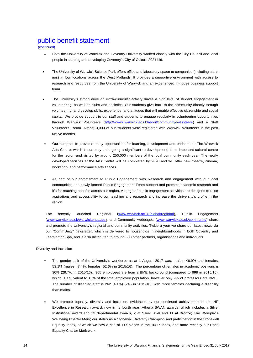(continued)

- Both the University of Warwick and Coventry University worked closely with the City Council and local people in shaping and developing Coventry's City of Culture 2021 bid.
- The University of Warwick Science Park offers office and laboratory space to companies (including startups) in four locations across the West Midlands. It provides a supportive environment with access to research and resources from the University of Warwick and an experienced in-house business support team.
- The University's strong drive on extra-curricular activity drives a high level of student engagement in volunteering, as well as clubs and societies. Our students give back to the community directly through volunteering, and develop skills, experience, and attitudes that will enable effective citizenship and social capital. We provide support to our staff and students to engage regularly in volunteering opportunities through Warwick Volunteers (http://www2.warwick.ac.uk/about/community/volunteers) and a Staff Volunteers Forum. Almost 3,000 of our students were registered with Warwick Volunteers in the past twelve months.
- Our campus life provides many opportunities for learning, development and enrichment. The Warwick Arts Centre, which is currently undergoing a significant re-development, is an important cultural centre for the region and visited by around 250,000 members of the local community each year. The newly developed facilities at the Arts Centre will be completed by 2020 and will offer new theatre, cinema, workshop, and performance arts spaces.
- As part of our commitment to Public Engagement with Research and engagement with our local communities, the newly formed Public Engagement Team support and promote academic research and it's far reaching benefits across our region. A range of public engagement activities are designed to raise aspirations and accessibility to our teaching and research and increase the University's profile in the region.

The recently launched Regional (www.warwick.ac.uk/global/regional), Public Engagement (www.warwick.ac.uk/warwickengages), and Community webpages (www.warwick.ac.uk/community) share and promote the University's regional and community activities. Twice a year we share our latest news via our "CommUnity" newsletter, which is delivered to households in neighbourhoods in both Coventry and Leamington Spa, and is also distributed to around 500 other partners, organisations and individuals.

Diversity and Inclusion

- The gender split of the University's workforce as at 1 August 2017 was: males: 46.9% and females: 53.1% (males 47.4%; females: 52.6% in 2015/16). The percentage of females in academic positions is 30% (29.7% in 2015/16). 955 employees are from a BME background (compared to 898 in 2015/16), which is equivalent to 15% of the total employee population, however only 9% of professors are BME. The number of disabled staff is 262 (4.1%) (246 in 2015/16), with more females declaring a disability than males.
- We promote equality, diversity and inclusion, evidenced by our continued achievement of the HR Excellence in Research award, now in its fourth year; Athena SWAN awards, which includes a Silver Institutional award and 13 departmental awards, 2 at Silver level and 11 at Bronze; The Workplace Wellbeing Charter Mark; our status as a Stonewall Diversity Champion and participation in the Stonewall Equality Index, of which we saw a rise of 117 places in the 16/17 Index, and more recently our Race Equality Charter Mark work.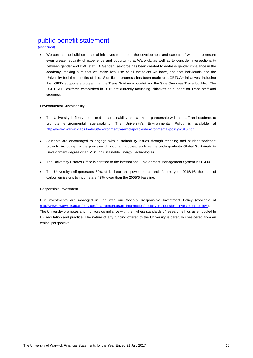(continued)

 We continue to build on a set of initiatives to support the development and careers of women, to ensure even greater equality of experience and opportunity at Warwick, as well as to consider intersectionality between gender and BME staff. A Gender Taskforce has been created to address gender imbalance in the academy, making sure that we make best use of all the talent we have, and that individuals and the University feel the benefits of this. Significant progress has been made on LGBTUA+ initiatives, including the LGBT+ supporters programme, the Trans Guidance booklet and the Safe Overseas Travel booklet. The LGBTUA+ Taskforce established in 2016 are currently focussing initiatives on support for Trans staff and students.

### Environmental Sustainability

- The University is firmly committed to sustainability and works in partnership with its staff and students to promote environmental sustainability. The University's Environmental Policy is available at http://www2.warwick.ac.uk/about/environment/warwick/policies/environmental-policy-2016.pdf
- Students are encouraged to engage with sustainability issues through teaching and student societies' projects, including via the provision of optional modules, such as the undergraduate Global Sustainability Development degree or an MSc in Sustainable Energy Technologies.
- The University Estates Office is certified to the international Environment Management System ISO14001.
- The University self-generates 60% of its heat and power needs and, for the year 2015/16, the ratio of carbon emissions to income are 42% lower than the 2005/6 baseline.

### Responsible Investment

Our investments are managed in line with our Socially Responsible Investment Policy (available at http://www2.warwick.ac.uk/services/finance/corporate\_information/socially\_responsible\_investment\_policy ). The University promotes and monitors compliance with the highest standards of research ethics as embodied in UK regulation and practice. The nature of any funding offered to the University is carefully considered from an ethical perspective.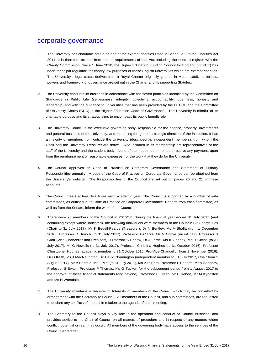### corporate governance

- 1. The University has charitable status as one of the exempt charities listed in Schedule 3 to the Charities Act 2011. It is therefore exempt from certain requirements of that Act, including the need to register with the Charity Commission. Since 1 June 2010, the Higher Education Funding Council for England (HEFCE) has been "principal regulator" for charity law purposes of those English universities which are exempt charities. The University's legal status derives from a Royal Charter originally granted in March 1965. Its objects, powers and framework of governance are set out in the Charter and its supporting Statutes.
- 2. The University conducts its business in accordance with the seven principles identified by the Committee on Standards in Public Life (selflessness, integrity, objectivity, accountability, openness, honesty and leadership) and with the guidance to universities that has been provided by the HEFCE and the Committee of University Chairs (CUC) in the Higher Education Code of Governance. The University is mindful of its charitable purpose and its strategy aims to encompass its public benefit role.
- 3. The University Council is the executive governing body, responsible for the finance, property, investments and general business of the University, and for setting the general strategic direction of the institution. It has a majority of members from outside the University (described as independent members), from whom the Chair and the University Treasurer are drawn. Also included in its membership are representatives of the staff of the University and the student body. None of the independent members receive any payment, apart from the reimbursement of reasonable expenses, for the work that they do for the University.
- 4. The Council approves its Code of Practice on Corporate Governance and Statement of Primary Responsibilities annually. A copy of the Code of Practice on Corporate Governance can be obtained from the University's website. The Responsibilities of the Council are set out on pages 20 and 21 of these accounts.
- 5. The Council meets at least five times each academic year. The Council is supported by a number of subcommittees, as outlined in its Code of Practice on Corporate Governance. Reports from each committee, as well as from the Senate, inform the work of the Council.
- 6. There were 25 members of the Council in 2016/17. During the financial year ended 31 July 2017 (and continuing except where indicated), the following individuals were members of the Council: Sir George Cox (Chair to 31 July 2017), Mr K Bedell-Pearce (Treasurer), Dr N Bentley, Ms A Bhalla (from 1 December 2016), Professor D Branch (to 31 July 2017), Professor A Clarke, Ms V Cooke (Vice-Chair), Professor S Croft (Vice-Chancellor and President), Professor C Ennew, Dr J Ferrie, Ms K Gadhok, Ms R Gittins (to 31 July 2017), Mr G Howells (to 31 July 2017), Professor Christina Hughes (to 31 October 2016), Professor Christopher Hughes (academic member to 31 October 2016, Pro-Vice-Chancellor from 1 November 2016), Dr D Keith, Ms J MacNaughton, Sir David Normington (independent member to 31 July 2017, Chair from 1 August 2017), Mr A Penfold, Mr L Pilot (to 31 July 2017), Ms A Pulford, Professor L Roberts, Mr N Sachdev, Professor S Swain, Professor P Thomas, Ms G Tucker; for the subsequent period from 1 August 2017 to the approval of these financial statements (and beyond): Professor L Green, Mr P Kehoe, Mr M Kynaston and Ms H Worsdale.
- 7. The University maintains a Register of Interests of members of the Council which may be consulted by arrangement with the Secretary to Council. All members of the Council, and sub-committees, are requested to declare any conflicts of interest in relation to the agenda of each meeting.
- 8. The Secretary to the Council plays a key role in the operation and conduct of Council business, and provides advice to the Chair of Council on all matters of procedure and in respect of any matters where conflict, potential or real, may occur. All members of the governing body have access to the services of the Council Secretariat.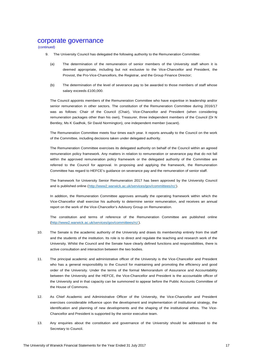### corporate governance

(continued)

- 9. The University Council has delegated the following authority to the Remuneration Committee:
	- (a) The determination of the remuneration of senior members of the University staff whom it is deemed appropriate, including but not exclusive to the Vice-Chancellor and President, the Provost, the Pro-Vice-Chancellors, the Registrar, and the Group Finance Director;
	- (b) The determination of the level of severance pay to be awarded to those members of staff whose salary exceeds £100,000.

The Council appoints members of the Remuneration Committee who have expertise in leadership and/or senior remuneration in other sectors. The constitution of the Remuneration Committee during 2016/17 was as follows: Chair of the Council (Chair), Vice-Chancellor and President (when considering remuneration packages other than his own), Treasurer, three independent members of the Council (Dr N Bentley, Ms K Gadhok, Sir David Normington), one independent member (vacant).

The Remuneration Committee meets four times each year. It reports annually to the Council on the work of the Committee, including decisions taken under delegated authority.

The Remuneration Committee exercises its delegated authority on behalf of the Council within an agreed remuneration policy framework. Any matters in relation to remuneration or severance pay that do not fall within the approved remuneration policy framework or the delegated authority of the Committee are referred to the Council for approval. In proposing and applying the framework, the Remuneration Committee has regard to HEFCE's guidance on severance pay and the remuneration of senior staff.

The framework for University Senior Remuneration 2017 has been approved by the University Council and is published online (http://www2.warwick.ac.uk/services/gov/committees/rc/ ).

In addition, the Remuneration Committee approves annually the operating framework within which the Vice-Chancellor shall exercise his authority to determine senior remuneration, and receives an annual report on the work of the Vice-Chancellor's Advisory Group on Remuneration.

The constitution and terms of reference of the Remuneration Committee are published online (http://www2.warwick.ac.uk/services/gov/committees/rc/ ).

- 10. The Senate is the academic authority of the University and draws its membership entirely from the staff and the students of the institution. Its role is to direct and regulate the teaching and research work of the University. Whilst the Council and the Senate have clearly defined functions and responsibilities, there is active consultation and interaction between the two bodies.
- 11. The principal academic and administrative officer of the University is the Vice-Chancellor and President who has a general responsibility to the Council for maintaining and promoting the efficiency and good order of the University. Under the terms of the formal Memorandum of Assurance and Accountability between the University and the HEFCE, the Vice-Chancellor and President is the accountable officer of the University and in that capacity can be summoned to appear before the Public Accounts Committee of the House of Commons.
- 12. As Chief Academic and Administrative Officer of the University, the Vice-Chancellor and President exercises considerable influence upon the development and implementation of institutional strategy, the identification and planning of new developments and the shaping of the institutional ethos. The Vice-Chancellor and President is supported by the senior executive team.
- 13. Any enquiries about the constitution and governance of the University should be addressed to the Secretary to Council.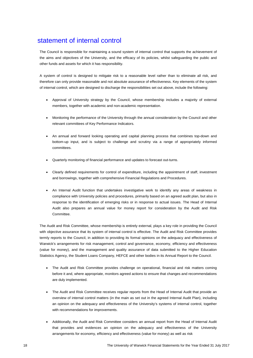# statement of internal control

The Council is responsible for maintaining a sound system of internal control that supports the achievement of the aims and objectives of the University, and the efficacy of its policies, whilst safeguarding the public and other funds and assets for which it has responsibility.

A system of control is designed to mitigate risk to a reasonable level rather than to eliminate all risk, and therefore can only provide reasonable and not absolute assurance of effectiveness. Key elements of the system of internal control, which are designed to discharge the responsibilities set out above, include the following:

- Approval of University strategy by the Council, whose membership includes a majority of external members, together with academic and non-academic representation.
- Monitoring the performance of the University through the annual consideration by the Council and other relevant committees of Key Performance Indicators.
- An annual and forward looking operating and capital planning process that combines top-down and bottom-up input, and is subject to challenge and scrutiny via a range of appropriately informed committees.
- Quarterly monitoring of financial performance and updates to forecast out-turns.
- Clearly defined requirements for control of expenditure, including the appointment of staff, investment and borrowings, together with comprehensive Financial Regulations and Procedures.
- An Internal Audit function that undertakes investigative work to identify any areas of weakness in compliance with University policies and procedures, primarily based on an agreed audit plan, but also in response to the identification of emerging risks or in response to actual issues. The Head of Internal Audit also prepares an annual value for money report for consideration by the Audit and Risk Committee.

The Audit and Risk Committee, whose membership is entirely external, plays a key role in providing the Council with objective assurance that its system of internal control is effective. The Audit and Risk Committee provides termly reports to the Council, in addition to providing its formal opinions on the adequacy and effectiveness of Warwick's arrangements for risk management, control and governance, economy, efficiency and effectiveness (value for money), and the management and quality assurance of data submitted to the Higher Education Statistics Agency, the Student Loans Company, HEFCE and other bodies in its Annual Report to the Council.

- The Audit and Risk Committee provides challenge on operational, financial and risk matters coming before it and, where appropriate, monitors agreed actions to ensure that changes and recommendations are duly implemented.
- The Audit and Risk Committee receives regular reports from the Head of Internal Audit that provide an overview of internal control matters (in the main as set out in the agreed Internal Audit Plan), including an opinion on the adequacy and effectiveness of the University's systems of internal control, together with recommendations for improvements.
- Additionally, the Audit and Risk Committee considers an annual report from the Head of Internal Audit that provides and evidences an opinion on the adequacy and effectiveness of the University arrangements for economy, efficiency and effectiveness (value for money) as well as risk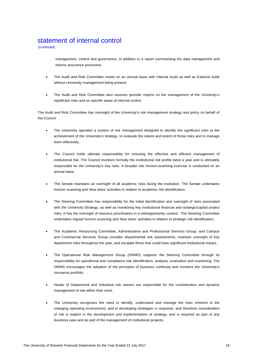# statement of internal control

(continued)

management, control and governance, in addition to a report summarising the data management and returns assurance processes.

- The Audit and Risk Committee meets on an annual basis with Internal Audit as well as External Audit without University management being present.
- The Audit and Risk Committee also receives periodic reports on the management of the University's significant risks and on specific areas of internal control.

The Audit and Risk Committee has oversight of the University's risk management strategy and policy on behalf of the Council.

- The University operates a system of risk management designed to identify the significant risks to the achievement of the University's strategy, to evaluate the nature and extent of those risks and to manage them effectively.
- The Council holds ultimate responsibility for ensuring the effective and efficient management of institutional risk. The Council monitors formally the institutional risk profile twice a year and is ultimately responsible for the University's key risks. A broader risk horizon-scanning exercise is conducted on an annual basis.
- The Senate maintains an oversight of all academic risks facing the institution. The Senate undertakes horizon scanning and 'blue skies' activities in relation to academic risk identification.
- The Steering Committee has responsibility for the initial identification and oversight of risks associated with the University Strategy, as well as monitoring key institutional financial and strategic/capital project risks. It has the oversight of resource prioritisation in a risk/opportunity context. The Steering Committee undertakes regular horizon scanning and 'blue skies' activities in relation to strategic risk identification.
- The Academic Resourcing Committee, Administrative and Professional Services Group, and Campus and Commercial Services Group consider departmental risk assessments, maintain oversight of key department risks throughout the year, and escalate those that could have significant institutional impact.
- The Operational Risk Management Group (ORMG) supports the Steering Committee through its responsibility for operational and compliance risk identification, analysis, evaluation and monitoring. The ORMG encourages the adoption of the principles of business continuity and monitors the University's insurance portfolio.
- Heads of Department and individual risk owners are responsible for the consideration and dynamic management of risk within their remit.
- The University recognises the need to identify, understand and manage the risks inherent in the changing operating environment, and in developing strategies in response, and therefore consideration of risk is explicit in the development and implementation of strategy, and is required as part of any business case and as part of the management of institutional projects.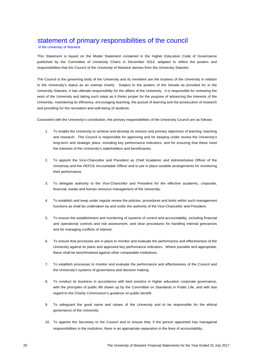# statement of primary responsibilities of the council

of the University of Warwick

This Statement is based on the Model Statement contained in the Higher Education Code of Governance published by the Committee of University Chairs in December 2014, adapted to reflect the powers and responsibilities that the Council of the University of Warwick derives from the University Statutes.

The Council is the governing body of the University and its members are the trustees of the University in relation to the University's status as an exempt charity. Subject to the powers of the Senate as provided for in the University Statutes, it has ultimate responsibility for the affairs of the University. It is responsible for reviewing the work of the University and taking such steps as it thinks proper for the purpose of advancing the interests of the University, maintaining its efficiency, encouraging teaching, the pursuit of learning and the prosecution of research and providing for the recreation and well-being of students.

Consistent with the University's constitution, the primary responsibilities of the University Council are as follows:

- 1. To enable the University to achieve and develop its mission and primary objectives of learning, teaching and research. The Council is responsible for approving and for keeping under review the University's long-term and strategic plans, including key performance indicators, and for ensuring that these meet the interests of the University's stakeholders and beneficiaries.
- 2. To appoint the Vice-Chancellor and President as Chief Academic and Administrative Officer of the University and the HEFCE Accountable Officer and to put in place suitable arrangements for monitoring their performance.
- 3. To delegate authority to the Vice-Chancellor and President for the effective academic, corporate, financial, estate and human resource management of the University.
- 4. To establish and keep under regular review the policies, procedures and limits within such management functions as shall be undertaken by and under the authority of the Vice-Chancellor and President.
- 5. To ensure the establishment and monitoring of systems of control and accountability, including financial and operational controls and risk assessment, and clear procedures for handling internal grievances and for managing conflicts of interest.
- 6. To ensure that processes are in place to monitor and evaluate the performance and effectiveness of the University against its plans and approved key performance indicators. Where possible and appropriate, these shall be benchmarked against other comparable institutions.
- 7. To establish processes to monitor and evaluate the performance and effectiveness of the Council and the University's systems of governance and decision making.
- 8. To conduct its business in accordance with best practice in higher education corporate governance, with the principles of public life drawn up by the Committee on Standards in Public Life, and with due regard to the Charity Commission's guidance on public benefit.
- 9. To safeguard the good name and values of the University and to be responsible for the ethical governance of the University.
- 10. To appoint the Secretary to the Council and to ensure that, if the person appointed has managerial responsibilities in the institution, there is an appropriate separation in the lines of accountability .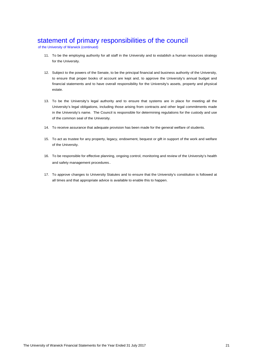# statement of primary responsibilities of the council

of the University of Warwick (continued)

- 11. To be the employing authority for all staff in the University and to establish a human resources strategy for the University.
- 12. Subject to the powers of the Senate, to be the principal financial and business authority of the University, to ensure that proper books of account are kept and, to approve the University's annual budget and financial statements and to have overall responsibility for the University's assets, property and physical estate.
- 13. To be the University's legal authority and to ensure that systems are in place for meeting all the University's legal obligations, including those arising from contracts and other legal commitments made in the University's name. The Council is responsible for determining regulations for the custody and use of the common seal of the University.
- 14. To receive assurance that adequate provision has been made for the general welfare of students.
- 15. To act as trustee for any property, legacy, endowment, bequest or gift in support of the work and welfare of the University.
- 16. To be responsible for effective planning, ongoing control, monitoring and review of the University's health and safety management procedures.
- 17. To approve changes to University Statutes and to ensure that the University's constitution is followed at all times and that appropriate advice is available to enable this to happen.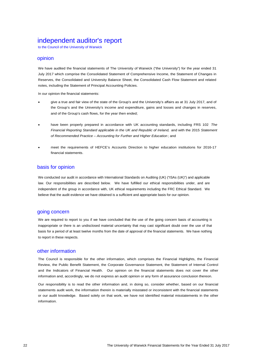# independent auditor's report

to the Council of the University of Warwick

### opinion

We have audited the financial statements of The University of Warwick ("the University") for the year ended 31 July 2017 which comprise the Consolidated Statement of Comprehensive Income, the Statement of Changes in Reserves, the Consolidated and University Balance Sheet, the Consolidated Cash Flow Statement and related notes, including the Statement of Principal Accounting Policies.

In our opinion the financial statements:

- give a true and fair view of the state of the Group's and the University's affairs as at 31 July 2017, and of the Group's and the University's income and expenditure, gains and losses and changes in reserves, and of the Group's cash flows, for the year then ended;
- have been properly prepared in accordance with UK accounting standards, including FRS 102 *The Financial Reporting Standard applicable in the UK and Republic of Ireland,* and with the 2015 *Statement of Recommended Practice – Accounting for Further and Higher Education* ; and
- meet the requirements of HEFCE's Accounts Direction to higher education institutions for 2016-17 financial statements.

### basis for opinion

We conducted our audit in accordance with International Standards on Auditing (UK) ("ISAs (UK)") and applicable law. Our responsibilities are described below. We have fulfilled our ethical responsibilities under, and are independent of the group in accordance with, UK ethical requirements including the FRC Ethical Standard. We believe that the audit evidence we have obtained is a sufficient and appropriate basis for our opinion.

### going concern

We are required to report to you if we have concluded that the use of the going concern basis of accounting is inappropriate or there is an undisclosed material uncertainty that may cast significant doubt over the use of that basis for a period of at least twelve months from the date of approval of the financial statements. We have nothing to report in these respects.

### other information

The Council is responsible for the other information, which comprises the Financial Highlights, the Financial Review, the Public Benefit Statement, the Corporate Governance Statement, the Statement of Internal Control and the Indicators of Financial Health. Our opinion on the financial statements does not cover the other information and, accordingly, we do not express an audit opinion or any form of assurance conclusion thereon.

Our responsibility is to read the other information and, in doing so, consider whether, based on our financial statements audit work, the information therein is materially misstated or inconsistent with the financial statements or our audit knowledge. Based solely on that work, we have not identified material misstatements in the other information.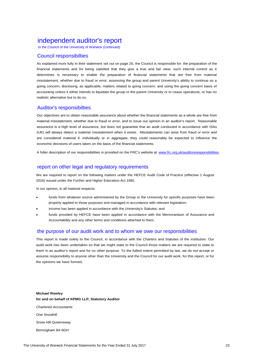# independent auditor's report

to the Council of the University of Warwick (continued)

### Council responsibilties

As explained more fully in their statement set out on page 20, the Council is responsible for: the preparation of the financial statements and for being satisfied that they give a true and fair view; such internal control as it determines is necessary to enable the preparation of financial statements that are free from material misstatement, whether due to fraud or error; assessing the group and parent University's ability to continue as a going concern, disclosing, as applicable, matters related to going concern; and using the going concern basis of accounting unless it either intends to liquidate the group or the parent University or to cease operations, or has no realistic alternative but to do so.

### Auditor's responsibilties

Our objectives are to obtain reasonable assurance about whether the financial statements as a whole are free from material misstatement, whether due to fraud or error, and to issue our opinion in an auditor's report. Reasonable assurance is a high level of assurance, but does not guarantee that an audit conducted in accordance with ISAs (UK) will always detect a material misstatement when it exists. Misstatements can arise from fraud or error and are considered material if, individually or in aggregate, they could reasonably be expected to influence the economic decisions of users taken on the basis of the financial statements.

A fuller description of our responsibilities is provided on the FRC's website at www.frc.org.uk/auditorsresponsibilities.

### report on other legal and regulatory requirements

We are required to report on the following matters under the HEFCE Audit Code of Practice (effective 1 August 2016) issued under the Further and Higher Education Act 1992.

In our opinion, in all material respects:

- funds from whatever source administered by the Group or the University for specific purposes have been properly applied to those purposes and managed in accordance with relevant legislation;
- income has been applied in accordance with the University's Statutes; and
- funds provided by HEFCE have been applied in accordance with the Memorandum of Assurance and Accountability and any other terms and conditions attached to them.

### the purpose of our audit work and to whom we owe our responsibilities

This report is made solely to the Council, in accordance with the Charters and Statutes of the institution. Our audit work has been undertaken so that we might state to the Council those matters we are required to state to them in an auditor's report and for no other purpose. To the fullest extent permitted by law, we do not accept or assume responsibility to anyone other than the University and the Council for our audit work, for this report, or for the opinions we have formed.

**Michael Rowley for and on behalf of KPMG LLP, Statutory Auditor** *Chartered Accountants* One Snowhill Snow Hill Queensway Birmingham B4 6GH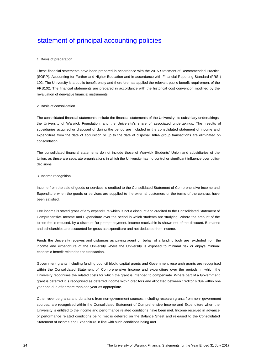### 1. Basis of preparation

These financial statements have been prepared in accordance with the 2015 Statement of Recommended Practice (SORP): Accounting for Further and Higher Education and in accordance with Financial Reporting Standard (FRS ) 102. The University is a public benefit entity and therefore has applied the relevant public benefit requirement of the FRS102. The financial statements are prepared in accordance with the historical cost convention modified by the revaluation of derivative financial instruments.

### 2. Basis of consolidation

The consolidated financial statements include the financial statements of the University, its subsidiary undertakings, the University of Warwick Foundation, and the University's share of associated undertakings. The results of subsidiaries acquired or disposed of during the period are included in the consolidated statement of income and expenditure from the date of acquisition or up to the date of disposal. Intra- group transactions are eliminated on consolidation.

The consolidated financial statements do not include those of Warwick Students' Union and subsidiaries of the Union, as these are separate organisations in which the University has no control or significant influence over policy decisions.

#### 3. Income recognition

Income from the sale of goods or services is credited to the Consolidated Statement of Comprehensive Income and Expenditure when the goods or services are supplied to the external customers or the terms of the contract have been satisfied.

Fee income is stated gross of any expenditure which is not a discount and credited to the Consolidated Statement of Comprehensive Income and Expenditure over the period in which students are studying. Where the amount of the tuition fee is reduced, by a discount for prompt payment, income receivable is shown net of the discount. Bursaries and scholarships are accounted for gross as expenditure and not deducted from income.

Funds the University receives and disburses as paying agent on behalf of a funding body are excluded from the income and expenditure of the University where the University is exposed to minimal risk or enjoys minimal economic benefit related to the transaction.

Government grants including funding council block, capital grants and Government rese arch grants are recognised within the Consolidated Statement of Comprehensive Income and expenditure over the periods in which the University recognises the related costs for which the grant is intended to compensate. Where part of a Government grant is deferred it is recognised as deferred income within creditors and allocated between creditor s due within one year and due after more than one year as appropriate.

Other revenue grants and donations from non-government sources, including research grants from non- government sources, are recognised within the Consolidated Statement of Comprehensive Income and Expenditure when the University is entitled to the income and performance related conditions have been met. Income received in advance of performance related conditions being met is deferred on the Balance Sheet and released to the Consolidated Statement of Income and Expenditure in line with such conditions being met.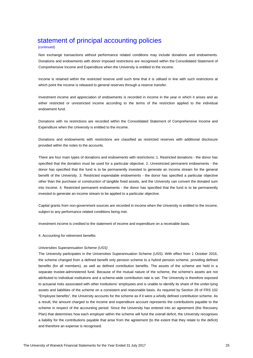### (continued)

Non exchange transactions without performance related conditions may include donations and endowments. Donations and endowments with donor imposed restrictions are recognised within the Consolidated Statement of Comprehensive Income and Expenditure when the University is entitled to the income.

Income is retained within the restricted reserve until such time that it is utilised in line with such restrictions at which point the income is released to general reserves through a reserve transfer.

Investment income and appreciation of endowments is recorded in income in the year in which it arises and as either restricted or unrestricted income according to the terms of the restriction applied to the individual endowment fund.

Donations with no restrictions are recorded within the Consolidated Statement of Comprehensive Income and Expenditure when the University is entitled to the income.

Donations and endowments with restrictions are classified as restricted reserves with additional disclosure provided within the notes to the accounts.

There are four main types of donations and endowments with restrictions: 1. Restricted donations - the donor has specified that the donation must be used for a particular objective. 2. Unrestricted permanent endowments - the donor has specified that the fund is to be permanently invested to generate an income stream for the general benefit of the University. 3. Restricted expendable endowments - the donor has specified a particular objective other than the purchase or construction of tangible fixed assets, and the University can convert the donated sum into Income. 4. Restricted permanent endowments - the donor has specified that the fund is to be permanently invested to generate an income stream to be applied to a particular objective.

Capital grants from non-government sources are recorded in income when the University is entitled to the income, subject to any performance related conditions being met.

Investment income is credited to the statement of income and expenditure on a receivable basis.

4. Accounting for retirement benefits

#### *Universities Superannuation Scheme (USS)*

The University participates in the Universities Superannuation Scheme (USS). With effect from 1 October 2016, the scheme changed from a defined benefit only pension scheme to a hybrid pension scheme, providing defined benefits (for all members), as well as defined contribution benefits. The assets of the scheme are held in a separate trustee-administered fund. Because of the mutual nature of the scheme, the scheme's assets are not attributed to individual institutions and a scheme-wide contribution rate is set. The University is therefore exposed to actuarial risks associated with other institutions' employees and is unable to identify its share of the under-lying assets and liabilities of the scheme on a consistent and reasonable basis. As required by Section 28 of FRS 102 "Employee benefits", the University accounts for the scheme as if it were a wholly defined contribution scheme. As a result, the amount charged to the income and expenditure account represents the contributions payable to the scheme in respect of the accounting period. Since the University has entered into an agreement (the Recovery Plan) that determines how each employer within the scheme will fund the overall deficit, the University recognises a liability for the contributions payable that arise from the agreement (to the extent that they relate to the deficit) and therefore an expense is recognised.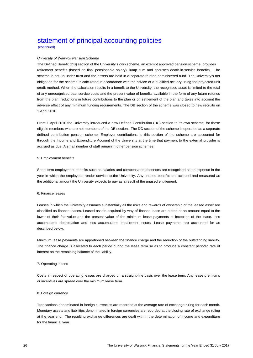(continued)

### *University of Warwick Pension Scheme*

The Defined Benefit (DB) section of the University's own scheme, an exempt approved pension scheme, provides retirement benefits (based on final pensionable salary), lump sum and spouse's death-in-service benefits. The scheme is set up under trust and the assets are held in a separate trustee-administered fund. The University's net obligation for the scheme is calculated in accordance with the advice of a qualified actuary using the projected unit credit method. When the calculation results in a benefit to the University, the recognised asset is limited to the total of any unrecognised past service costs and the present value of benefits available in the form of any future refunds from the plan, reductions in future contributions to the plan or on settlement of the plan and takes into account the adverse effect of any minimum funding requirements. The DB section of the scheme was closed to new recruits on 1 April 2010.

From 1 April 2010 the University introduced a new Defined Contribution (DC) section to its own scheme, for those eligible members who are not members of the DB section. The DC section of the scheme is operated as a separate defined contribution pension scheme. Employer contributions to this section of the scheme are accounted for through the Income and Expenditure Account of the University at the time that payment to the external provider is accrued as due. A small number of staff remain in other pension schemes.

### 5. Employment benefits

Short term employment benefits such as salaries and compensated absences are recognised as an expense in the year in which the employees render service to the University. Any unused benefits are accrued and measured as the additional amount the University expects to pay as a result of the unused entitlement.

#### 6. Finance leases

Leases in which the University assumes substantially all the risks and rewards of ownership of the leased asset are classified as finance leases. Leased assets acquired by way of finance lease are stated at an amount equal to the lower of their fair value and the present value of the minimum lease payments at inception of the lease, less accumulated depreciation and less accumulated impairment losses. Lease payments are accounted for as described below.

Minimum lease payments are apportioned between the finance charge and the reduction of the outstanding liability. The finance charge is allocated to each period during the lease term so as to produce a constant periodic rate of interest on the remaining balance of the liability.

### 7. Operating leases

Costs in respect of operating leases are charged on a straight-line basis over the lease term. Any lease premiums or incentives are spread over the minimum lease term.

### 8. Foreign currency

Transactions denominated in foreign currencies are recorded at the average rate of exchange ruling for each month. Monetary assets and liabilities denominated in foreign currencies are recorded at the closing rate of exchange ruling at the year end. The resulting exchange differences are dealt with in the determination of income and expenditure for the financial year.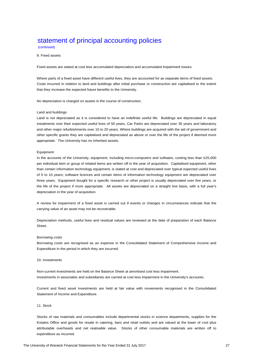(continued)

#### 9. Fixed assets

Fixed assets are stated at cost less accumulated depreciation and accumulated impairment losses.

Where parts of a fixed asset have different useful lives, they are accounted for as separate items of fixed assets. Costs incurred in relation to land and buildings after initial purchase or construction are capitalised to the extent that they increase the expected future benefits to the University.

No depreciation is charged on assets in the course of construction.

#### Land and buildings

Land is not depreciated as it is considered to have an indefinite useful life. Buildings are depreciated in equal instalments over their expected useful lives of 50 years, Car Parks are depreciated over 35 years and laboratory and other major refurbishments over 10 to 20 years. Where buildings are acquired with the aid of government and other specific grants they are capitalised and depreciated as above or over the life of the project if deemed more appropriate. The University has no inherited assets.

#### Equipment

In the accounts of the University, equipment, including micro-computers and software, costing less than £25,000 per individual item or group of related items are written off in the year of acquisition. Capitalised equipment, other than certain information technology equipment, is stated at cost and depreciated over typical expected useful lives of 5 to 10 years; software licences and certain items of information technology equipment are depreciated over three years. Equipment bought for a specific research or other project is usually depreciated over five years, or the life of the project if more appropriate. All assets are depreciated on a straight line basis, with a full year's depreciation in the year of acquisition.

A review for impairment of a fixed asset is carried out if events or changes in circumstances indicate that the carrying value of an asset may not be recoverable.

Depreciation methods, useful lives and residual values are reviewed at the date of preparation of each Balance Sheet.

#### Borrowing costs

Borrowing costs are recognised as an expense in the Consolidated Statement of Comprehensive Income and Expenditure in the period in which they are incurred.

#### 10. Investments

Non-current investments are held on the Balance Sheet at amortised cost less impairment. Investments in associates and subsidiaries are carried at cost less impairment in the University's accounts.

Current and fixed asset investments are held at fair value with movements recognised in the Consolidated Statement of Income and Expenditure.

### 11. Stock

Stocks of raw materials and consumables include departmental stocks in science departments, supplies for the Estates Office and goods for resale in catering, bars and retail outlets and are valued at the lower of cost plus attributable overheads and net realisable value. Stocks of other consumable materials are written off to expenditure as incurred.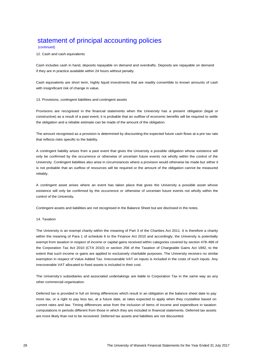### (continued)

12. Cash and cash equivalents

Cash includes cash in hand, deposits repayable on demand and overdrafts. Deposits are repayable on demand if they are in practice available within 24 hours without penalty.

Cash equivalents are short term, highly liquid investments that are readily convertible to known amounts of cash with insignificant risk of change in value.

#### 13. Provisions, contingent liabilities and contingent assets

Provisions are recognised in the financial statements when the University has a present obligation (legal or constructive) as a result of a past event, it is probable that an outflow of economic benefits will be required to settle the obligation and a reliable estimate can be made of the amount of the obligation.

The amount recognised as a provision is determined by discounting the expected future cash flows at a pre-tax rate that reflects risks specific to the liability.

A contingent liability arises from a past event that gives the University a possible obligation whose existence will only be confirmed by the occurrence or otherwise of uncertain future events not wholly within the control of the University. Contingent liabilities also arise in circumstances where a provision would otherwise be made but either it is not probable that an outflow of resources will be required or the amount of the obligation cannot be measured reliably.

A contingent asset arises where an event has taken place that gives the University a possible asset whose existence will only be confirmed by the occurrence or otherwise of uncertain future events not wholly within the control of the University.

Contingent assets and liabilities are not recognised in the Balance Sheet but are disclosed in the notes.

#### 14. Taxation

The University is an exempt charity within the meaning of Part 3 of the Charities Act 2011. It is therefore a charity within the meaning of Para 1 of schedule 6 to the Finance Act 2010 and accordingly, the University is potentially exempt from taxation in respect of income or capital gains received within categories covered by section 478-488 of the Corporation Tax Act 2010 (CTA 2010) or section 256 of the Taxation of Chargeable Gains Act 1992, to the extent that such income or gains are applied to exclusively charitable purposes. The University receives no similar exemption in respect of Value Added Tax. Irrecoverable VAT on inputs is included in the costs of such inputs. Any irrecoverable VAT allocated to fixed assets is included in their cost.

The University's subsidiaries and associated undertakings are liable to Corporation Tax in the same way as any other commercial organisation.

Deferred tax is provided in full on timing differences which result in an obligation at the balance sheet date to pay more tax, or a right to pay less tax, at a future date, at rates expected to apply when they crystallise based on current rates and law. Timing differences arise from the inclusion of items of income and expenditure in taxation computations in periods different from those in which they are included in financial statements. Deferred tax assets are more likely than not to be recovered. Deferred tax assets and liabilities are not discounted.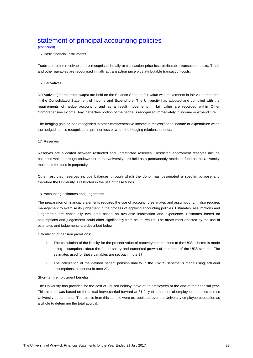#### (continued)

#### 15. Basic financial instruments

Trade and other receivables are recognised initially at transaction price less attributable transaction costs. Trade and other payables are recognised initially at transaction price plus attributable transaction costs.

#### 16. Derivatives

Derivatives (interest rate swaps) are held on the Balance Sheet at fair value with movements in fair value recorded in the Consolidated Statement of Income and Expenditure. The University has adopted and complied with the requirements of hedge accounting and as a result movements in fair value are recorded within Other Comprehensive Income. Any ineffective portion of the hedge is recognised immediately in income or expenditure.

The hedging gain or loss recognised in other comprehensive income is reclassified to income or expenditure when the hedged item is recognised in profit or loss or when the hedging relationship ends.

### 17. Reserves

Reserves are allocated between restricted and unrestricted reserves. Restricted endowment reserves include balances which, through endowment to the University, are held as a permanently restricted fund as the University must hold the fund in perpetuity.

Other restricted reserves include balances through which the donor has designated a specific purpose and therefore the University is restricted in the use of these funds.

#### 18. Accounting estimates and judgements

The preparation of financial statements requires the use of accounting estimates and assumptions. It also requires management to exercise its judgement in the process of applying accounting policies. Estimates, assumptions and judgements are continually evaluated based on available information and experience. Estimates based on assumptions and judgements could differ significantly from actual results. The areas most affected by the use of estimates and judgements are described below.

Calculation of pension provisions:

- i. The calculation of the liability for the present value of recovery contributions to the USS scheme is made using assumptions about the future salary and numerical growth of members of the USS scheme. The estimates used for these variables are set out in note 27.
- ii. The calculation of the defined benefit pension liability in the UWPS scheme is made using actuarial assumptions, as set out in note 27.

#### Short-term employment benefits:

The University has provided for the cost of unused holiday leave of its employees at the end of the financial year. This accrual was based on the actual leave carried forward at 31 July of a number of employees sampled across University departments. The results from this sample were extrapolated over the University employee population as a whole to determine the total accrual.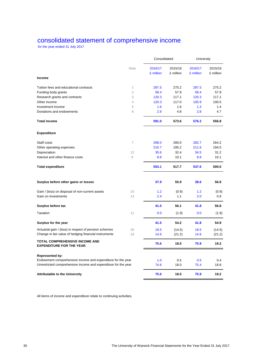### consolidated statement of comprehensive income

for the year ended 31 July 2017

|                                                                          |                | Consolidated         |                      | University           |                      |
|--------------------------------------------------------------------------|----------------|----------------------|----------------------|----------------------|----------------------|
|                                                                          | Note           | 2016/17<br>£ million | 2015/16<br>£ million | 2016/17<br>£ million | 2015/16<br>£ million |
| <b>Income</b>                                                            |                |                      |                      |                      |                      |
| Tuition fees and educational contracts                                   | $\mathbf 1$    | 287.5                | 275.2                | 287.5                | 275.2                |
| Funding body grants                                                      | $\overline{2}$ | 58.4                 | 57.9                 | 58.4                 | 57.9                 |
| Research grants and contracts                                            | 3              | 120.3                | 117.1                | 120.3                | 117.1                |
| Other income                                                             | $\overline{4}$ | 120.3                | 117.0                | 105.9                | 100.5                |
| Investment income                                                        | 5              | 1.6                  | 1.6                  | 1.3                  | 1.4                  |
| Donations and endowments                                                 | 6              | 2.9                  | 4.8                  | 2.8                  | 4.7                  |
| <b>Total income</b>                                                      |                | 591.0                | 573.6                | 576.2                | 556.8                |
| <b>Expenditure</b>                                                       |                |                      |                      |                      |                      |
| Staff costs                                                              | $\overline{7}$ | 298.0                | 280.0                | 282.7                | 264.2                |
| Other operating expenses                                                 |                | 210.7                | 195.2                | 211.6                | 194.5                |
| Depreciation                                                             | 12             | 35.6                 | 32.4                 | 34.5                 | 31.2                 |
| Interest and other finance costs                                         | $\mathcal G$   | 8.8                  | 10.1                 | 8.8                  | 10.1                 |
| <b>Total expenditure</b>                                                 |                | 553.1                | 517.7                | 537.6                | 500.0                |
| Surplus before other gains or losses                                     |                | 37.9                 | 55.9                 | 38.6                 | 56.8                 |
| Gain / (loss) on disposal of non-current assets                          | 10             | 1.2                  | (0.9)                | 1.2                  | (0.9)                |
| Gain on investments                                                      | 13             | 2.4                  | 1.1                  | 2.0                  | 0.9                  |
| Surplus before tax                                                       |                | 41.5                 | 56.1                 | 41.8                 | 56.8                 |
| Taxation                                                                 | 11             | 0.0                  | (1.9)                | 0.0                  | (1.9)                |
| Surplus for the year                                                     |                | 41.5                 | 54.2                 | 41.8                 | 54.9                 |
| Actuarial gain / (loss) in respect of pension schemes                    | 20             | 19.5                 | (14.5)               | 19.5                 | (14.5)               |
| Change in fair value of hedging financial instruments                    | 18             | 14.6                 | (21.2)               | 14.6                 | (21.2)               |
| <b>TOTAL COMPREHENSIVE INCOME AND</b><br><b>EXPENDITURE FOR THE YEAR</b> |                | 75.6                 | 18.5                 | 75.9                 | 19.2                 |
| <b>Represented by:</b>                                                   |                |                      |                      |                      |                      |
| Endowment comprehensive income and expenditure for the year              |                | 1.0                  | 0.5                  | 0.5                  | 0.4                  |
| Unrestricted comprehensive income and expenditure for the year           |                | 74.6                 | 18.0                 | 75.4                 | 18.8                 |
| <b>Attributable to the University</b>                                    |                | 75.6                 | 18.5                 | 75.9                 | 19.2                 |

All items of income and expenditure relate to continuing activities.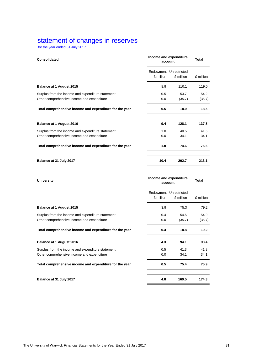### statement of changes in reserves

for the year ended 31 July 2017

|           | Income and expenditure<br>account |                        |  |
|-----------|-----------------------------------|------------------------|--|
| £ million | £ million                         | £ million              |  |
| 8.9       | 110.1                             | 119.0                  |  |
| 0.5       | 53.7<br>(35.7)                    | 54.2                   |  |
| 0.0       |                                   | (35.7)                 |  |
| 0.5       | 18.0                              | 18.5                   |  |
| 9.4       | 128.1                             | 137.5                  |  |
| 1.0       | 40.5                              | 41.5                   |  |
| 0.0       | 34.1                              | 34.1                   |  |
| 1.0       | 74.6                              | 75.6                   |  |
| 10.4      | 202.7                             | 213.1                  |  |
|           |                                   | Endowment Unrestricted |  |

| <b>University</b>                                       | Income and expenditure<br>account | <b>Total</b>                        |           |  |  |  |        |
|---------------------------------------------------------|-----------------------------------|-------------------------------------|-----------|--|--|--|--------|
|                                                         | £ million                         | Endowment Unrestricted<br>£ million | £ million |  |  |  |        |
| <b>Balance at 1 August 2015</b>                         | 3.9                               | 75.3                                | 79.2      |  |  |  |        |
| Surplus from the income and expenditure statement       | 0.4                               | 54.5                                | 54.9      |  |  |  |        |
| Other comprehensive income and expenditure              | 0.0<br>(35.7)                     |                                     |           |  |  |  | (35.7) |
| Total comprehensive income and expenditure for the year | 0.4                               | 18.8                                | 19.2      |  |  |  |        |
| <b>Balance at 1 August 2016</b>                         | 4.3                               | 94.1                                | 98.4      |  |  |  |        |
| Surplus from the income and expenditure statement       | 0.5                               | 41.3                                | 41.8      |  |  |  |        |
| Other comprehensive income and expenditure              | 0.0                               | 34.1                                | 34.1      |  |  |  |        |
| Total comprehensive income and expenditure for the year | 0.5                               | 75.4                                | 75.9      |  |  |  |        |
| Balance at 31 July 2017                                 | 4.8                               | 169.5                               | 174.3     |  |  |  |        |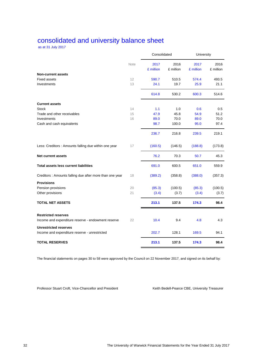# consolidated and university balance sheet

as at 31 July 2017

|                                                                                  |      | Consolidated      |                   | University        |                   |
|----------------------------------------------------------------------------------|------|-------------------|-------------------|-------------------|-------------------|
|                                                                                  | Note | 2017<br>£ million | 2016<br>£ million | 2017<br>£ million | 2016<br>£ million |
| <b>Non-current assets</b>                                                        |      |                   |                   |                   |                   |
| <b>Fixed assets</b>                                                              | 12   | 590.7             | 510.5             | 574.4             | 493.5             |
| Investments                                                                      | 13   | 24.1              | 19.7              | 25.9              | 21.1              |
|                                                                                  |      | 614.8             | 530.2             | 600.3             | 514.6             |
| <b>Current assets</b>                                                            |      |                   |                   |                   |                   |
| <b>Stock</b>                                                                     | 14   | 1.1               | 1.0               | 0.6               | 0.5               |
| Trade and other receivables                                                      | 15   | 47.9              | 45.8              | 54.9              | 51.2              |
| Investments                                                                      | 16   | 89.0              | 70.0              | 89.0              | 70.0              |
| Cash and cash equivalents                                                        |      | 98.7              | 100.0             | 95.0              | 97.4              |
|                                                                                  |      | 236.7             | 216.8             | 239.5             | 219.1             |
| Less: Creditors : Amounts falling due within one year                            | 17   | (160.5)           | (146.5)           | (188.8)           | (173.8)           |
| <b>Net current assets</b>                                                        |      | 76.2              | 70.3              | 50.7              | 45.3              |
| <b>Total assets less current liabilities</b>                                     |      | 691.0             | 600.5             | 651.0             | 559.9             |
| Creditors : Amounts falling due after more than one year                         | 18   | (389.2)           | (358.8)           | (388.0)           | (357.3)           |
| <b>Provisions</b>                                                                |      |                   |                   |                   |                   |
| Pension provisions                                                               | 20   | (85.3)            | (100.5)           | (85.3)            | (100.5)           |
| Other provisions                                                                 | 21   | (3.4)             | (3.7)             | (3.4)             | (3.7)             |
| <b>TOTAL NET ASSETS</b>                                                          |      | 213.1             | 137.5             | 174.3             | 98.4              |
| <b>Restricted reserves</b><br>Income and expenditure reserve - endowment reserve | 22   | 10.4              | 9.4               | 4.8               | 4.3               |
| <b>Unrestricted reserves</b><br>Income and expenditure reserve - unrestricted    |      | 202.7             | 128.1             | 169.5             | 94.1              |
| <b>TOTAL RESERVES</b>                                                            |      | 213.1             | 137.5             | 174.3             | 98.4              |

The financial statements on pages 30 to 58 were approved by the Council on 22 November 2017, and signed on its behalf by:

Professor Stuart Croft, Vice-Chancellor and President Keith Bedell-Pearce CBE, University Treasurer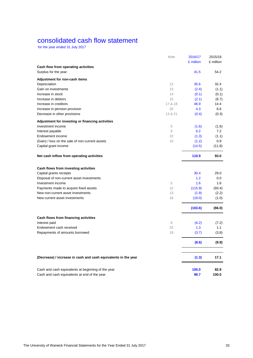# consolidated cash flow statement

for the year ended 31 July 2017

|                                                                | Note               | 2016/17<br>£ million | 2015/16<br>£ million |
|----------------------------------------------------------------|--------------------|----------------------|----------------------|
| Cash flow from operating activities                            |                    |                      |                      |
| Surplus for the year                                           |                    | 41.5                 | 54.2                 |
|                                                                |                    |                      |                      |
| Adjustment for non-cash items<br>Depreciation                  | 12                 | 35.6                 | 32.4                 |
| Gain on investments                                            | 13                 | (2.4)                | (1.1)                |
| Increase in stock                                              | 14                 | (0.1)                | (0.1)                |
| Increase in debtors                                            | 15                 | (2.1)                | (6.7)                |
| Increase in creditors                                          | 17 & 18            | 46.9                 | 14.4                 |
| Increase in pension provision                                  | 20                 | 4.3                  | 6.6                  |
| Decrease in other provisions                                   | 13 & 21            | (0.4)                | (0.3)                |
|                                                                |                    |                      |                      |
| Adjustment for investing or financing activities               |                    |                      |                      |
| Investment income                                              | 5                  | (1.6)                | (1.6)                |
| Interest payable                                               | 9                  | 6.2                  | 7.2                  |
| Endowment income                                               | 22                 | (1.3)                | (1.1)                |
| (Gain) / loss on the sale of non-current assets                | 10                 | (1.2)                | 0.9                  |
| Capital grant income                                           |                    | (14.5)               | (11.8)               |
| Net cash inflow from operating activities                      |                    | 110.9                | 93.0                 |
|                                                                |                    |                      |                      |
| Cash flows from investing activities                           |                    |                      | 29.0                 |
| Capital grants receipts                                        |                    | 30.4                 |                      |
| Disposal of non-current asset investments                      |                    | 1.2                  | 0.0                  |
| Investment income                                              | 5                  | 1.6                  | 1.6                  |
| Payments made to acquire fixed assets                          | 12                 | (115.9)              | (93.4)               |
| New non-current asset investments                              | 13                 | (1.9)                | (2.2)                |
| New current asset investments                                  | 16                 | (19.0)               | (1.0)                |
|                                                                |                    | (103.6)              | (66.0)               |
| Cash flows from financing activities                           |                    |                      |                      |
| Interest paid                                                  | $\hbox{ }^{\rm 9}$ | (6.2)                | (7.2)                |
| Endowment cash received                                        | 22                 | 1.3                  | 1.1                  |
| Repayments of amounts borrowed                                 | 19                 | (3.7)                | (3.8)                |
|                                                                |                    |                      |                      |
|                                                                |                    | (8.6)                | (9.9)                |
| (Decrease) / increase in cash and cash equivalents in the year |                    | (1.3)                | 17.1                 |
| Cash and cash equivalents at beginning of the year             |                    | 100.0                | 82.9                 |
| Cash and cash equivalents at end of the year                   |                    | 98.7                 | 100.0                |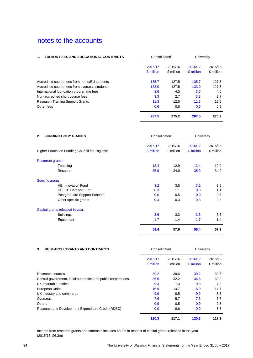### 1. **TUITION FEES AND EDUCATIONAL CONTRACTS** Consolidated University

| 2016/17<br>£ million | 2015/16<br>£ million | 2016/17<br>£ million | 2015/16<br>£ million |
|----------------------|----------------------|----------------------|----------------------|
| 135.7                | 127.5                | 135.7                | 127.5                |
| 133.0                | 127.5                | 133.0                | 127.5                |
| 3.6                  | 4.5                  | 3.6                  | 4.5                  |
| 3.3                  | 2.7                  | 3.3                  | 2.7                  |
| 11.3                 | 12.5                 | 11.3                 | 12.5                 |
| 0.6                  | 0.5                  | 0.6                  | 0.5                  |
| 287.5                | 275.2                | 287.5                | 275.2                |
|                      |                      |                      |                      |

| <b>FUNDING BODY GRANTS</b><br>2.              | Consolidated         |                      | University           |                      |  |  |  |  |
|-----------------------------------------------|----------------------|----------------------|----------------------|----------------------|--|--|--|--|
| Higher Education Funding Council for England: | 2016/17<br>£ million | 2015/16<br>£ million | 2016/17<br>£ million | 2015/16<br>£ million |  |  |  |  |
| <b>Recurrent grants:</b>                      |                      |                      |                      |                      |  |  |  |  |
| Teaching                                      | 13.4                 | 12.9                 | 13.4                 | 12.9                 |  |  |  |  |
| Research                                      | 35.9                 | 34.9                 | 35.9                 | 34.9                 |  |  |  |  |
| Specific grants:                              |                      |                      |                      |                      |  |  |  |  |
| <b>HE Innovation Fund</b>                     | 3.2                  | 3.5                  | 3.2                  | 3.5                  |  |  |  |  |
| <b>HEFCE Catalyst Fund</b>                    | 0.3                  | 1.1                  | 0.3                  | 1.1                  |  |  |  |  |
| Postgraduate Support Scheme                   | 0.0                  | 0.5                  | 0.0                  | 0.5                  |  |  |  |  |
| Other specific grants                         | 0.3                  | 0.3                  | 0.3                  | 0.3                  |  |  |  |  |
| Capital grants released in year:              |                      |                      |                      |                      |  |  |  |  |
| <b>Buildings</b>                              | 3.6                  | 3.3                  | 3.6                  | 3.3                  |  |  |  |  |
| Equipment                                     | 1.7                  | 1.4                  | 1.7                  | 1.4                  |  |  |  |  |
|                                               | 58.4                 | 57.9                 | 58.4                 | 57.9                 |  |  |  |  |

| <b>RESEARCH GRANTS AND CONTRACTS</b><br>3.                    | Consolidated |           | University |           |
|---------------------------------------------------------------|--------------|-----------|------------|-----------|
|                                                               | 2016/17      | 2015/16   | 2016/17    | 2015/16   |
|                                                               | £ million    | £ million | £ million  | £ million |
| Research councils                                             | 39.2         | 39.6      | 39.2       | 39.6      |
| Central government, local authorities and public corporations | 36.5         | 32.2      | 36.5       | 32.2      |
| UK charitable bodies                                          | 9.3          | 7.3       | 9.3        | 7.3       |
| European Union                                                | 16.9         | 14.7      | 16.9       | 14.7      |
| UK industry and commerce                                      | 9.9          | 8.5       | 9.9        | 8.5       |
| Overseas                                                      | 7.6          | 5.7       | 7.6        | 5.7       |
| <b>Others</b>                                                 | 0.9          | 0.5       | 0.9        | 0.5       |
| Research and Development Expenditure Credit (RDEC)            | 0.0          | 8.6       | 0.0        | 8.6       |
|                                                               | 120.3        | 117.1     | 120.3      | 117.1     |

Income from research grants and contracts includes £8.3m in respect of capital grants released in the year (2015/16: £6.3m)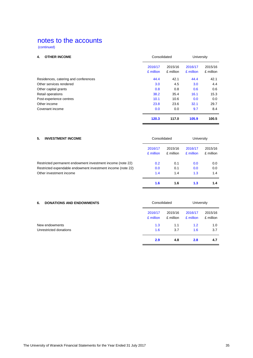(continued)

| <b>OTHER INCOME</b><br>4.            | Consolidated         |                      | University           |                      |
|--------------------------------------|----------------------|----------------------|----------------------|----------------------|
|                                      | 2016/17<br>£ million | 2015/16<br>£ million | 2016/17<br>£ million | 2015/16<br>£ million |
| Residences, catering and conferences | 44.4                 | 42.1                 | 44.4                 | 42.1                 |
| Other services rendered              | 3.0                  | 4.5                  | 3.0                  | 4.4                  |
| Other capital grants                 | 0.8                  | 0.8                  | 0.6                  | 0.6                  |
| Retail operations                    | 38.2                 | 35.4                 | 16.1                 | 15.3                 |
| Post-experience centres              | 10.1                 | 10.6                 | 0.0                  | 0.0                  |
| Other income                         | 23.8                 | 23.6                 | 32.1                 | 29.7                 |
| Covenant income                      | 0.0                  | 0.0                  | 9.7                  | 8.4                  |
|                                      | 120.3                | 117.0                | 105.9                | 100.5                |

| 5.<br><b>INVESTMENT INCOME</b>                              |                      | Consolidated         |                      | University           |  |
|-------------------------------------------------------------|----------------------|----------------------|----------------------|----------------------|--|
|                                                             | 2016/17<br>£ million | 2015/16<br>£ million | 2016/17<br>£ million | 2015/16<br>£ million |  |
| Restricted permanent endowment investment income (note 22)  | 0.2                  | 0.1                  | 0.0                  | 0.0                  |  |
| Restricted expendable endowment investment income (note 22) | 0.0                  | 0.1                  | 0.0                  | 0.0                  |  |
| Other investment income                                     | 1.4                  | 1.4                  | 1.3                  | 1.4                  |  |
|                                                             | 1.6                  | 1.6                  | 1.3                  | 1.4                  |  |

| <b>DONATIONS AND ENDOWMENTS</b><br>6. | Consolidated         |                      | University           |                      |
|---------------------------------------|----------------------|----------------------|----------------------|----------------------|
|                                       | 2016/17<br>£ million | 2015/16<br>£ million | 2016/17<br>£ million | 2015/16<br>£ million |
| New endowments                        | 1.3                  | 1.1                  | 1.2                  | 1.0                  |
| Unrestricted donations                | 1.6                  | 3.7                  | 1.6                  | 3.7                  |
|                                       | 2.9                  | 4.8                  | 2.8                  | 4.7                  |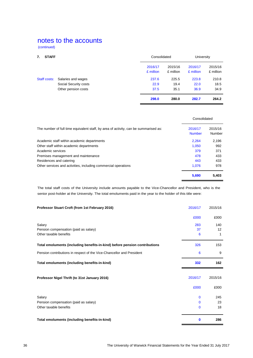(continued)

| <b>STAFF</b><br>7. |                       |                      | Consolidated         |                      | University           |
|--------------------|-----------------------|----------------------|----------------------|----------------------|----------------------|
|                    |                       | 2016/17<br>£ million | 2015/16<br>£ million | 2016/17<br>£ million | 2015/16<br>£ million |
| Staff costs:       | Salaries and wages    | 237.6                | 225.5                | 223.8                | 210.8                |
|                    | Social Security costs | 22.9                 | 19.4                 | 22.0                 | 18.5                 |
|                    | Other pension costs   | 37.5                 | 35.1                 | 36.9                 | 34.9                 |
|                    |                       | 298.0                | 280.0                | 282.7                | 264.2                |

|                                                                                      | Consolidated             |                   |
|--------------------------------------------------------------------------------------|--------------------------|-------------------|
| The number of full time equivalent staff, by area of activity, can be summarised as: | 2016/17<br><b>Number</b> | 2015/16<br>Number |
| Academic staff within academic departments                                           | 2.264                    | 2,196             |
| Other staff within academic departments                                              | 1.050                    | 992               |
| Academic services                                                                    | 379                      | 371               |
| Premises management and maintenance                                                  | 478                      | 433               |
| Residences and catering                                                              | 443                      | 433               |
| Other services and activities, including commercial operations                       | 1.076                    | 978               |
|                                                                                      | 5.690                    | 5,403             |

The total staff costs of the University include amounts payable to the Vice-Chancellor and President, who is the senior post-holder at the University. The total emoluments paid in the year to the holder of this title were:

| Professor Stuart Croft (from 1st February 2016)                            | 2016/17        | 2015/16        |
|----------------------------------------------------------------------------|----------------|----------------|
|                                                                            | £000           | £000           |
| Salary<br>Pension compensation (paid as salary)<br>Other taxable benefits  | 283<br>37<br>6 | 140<br>12<br>1 |
| Total emoluments (including benefits-in-kind) before pension contributions | 326            | 153            |
| Pension contributions in respect of the Vice-Chancellor and President      | 6              | 9              |
| Total emoluments (including benefits-in-kind)                              | 332            | 162            |
| Professor Nigel Thrift (to 31st January 2016)                              | 2016/17        | 2015/16        |
|                                                                            | £000           | £000           |
| Salary                                                                     | $\mathbf{0}$   | 245            |
| Pension compensation (paid as salary)                                      | $\mathbf{0}$   | 23             |
| Other taxable benefits                                                     | $\Omega$       | 18             |
| Total emoluments (including benefits-in-kind)                              | $\mathbf 0$    | 286            |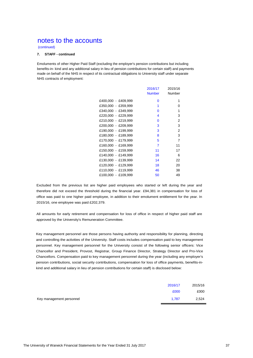(continued)

### **7. STAFF - continued**

Emoluments of other Higher Paid Staff (excluding the employer's pension contributions but including benefits-in- kind and any additional salary in lieu of pension contributions for certain staff) and payments made on behalf of the NHS in respect of its contractual obligations to University staff under separate NHS contracts of employment:

|                     | 2016/17<br>Number | 2015/16<br>Number |
|---------------------|-------------------|-------------------|
| £400,000 - £409,999 | 0                 | 1                 |
| £350,000 - £359,999 | 1                 | 0                 |
| £340,000 - £349,999 | $\Omega$          | 1                 |
| £220,000 - £229,999 | 4                 | 3                 |
| £210,000 - £219,999 | 0                 | 2                 |
| £200,000 - £209,999 | 3                 | 3                 |
| £190,000 - £199,999 | 3                 | 2                 |
| £180,000 - £189,999 | 8                 | 3                 |
| £170,000 - £179,999 | 5                 | 7                 |
| £160,000 - £169,999 | 7                 | 11                |
| £150,000 - £159,999 | 11                | 17                |
| £140,000 - £149,999 | 16                | 6                 |
| £130,000 - £139,999 | 14                | 22                |
| £120,000 - £129,999 | 18                | 20                |
| £110,000 - £119,999 | 46                | 38                |
| £100,000 - £109,999 | 50                | 49                |
|                     |                   |                   |

Excluded from the previous list are higher paid employees who started or left during the year and therefore did not exceed the threshold during the financial year. £94,381 in compensation for loss of office was paid to one higher paid employee, in addition to their emolument entitlement for the year. In 2015/16, one employee was paid £202,379.

All amounts for early retirement and compensation for loss of office in respect of higher paid staff are approved by the University's Remuneration Committee.

Key management personnel are those persons having authority and responsibility for planning, directing and controlling the activities of the University. Staff costs includes compensation paid to key management personnel. Key management personnel for the University consist of the following senior officers: Vice Chancellor and President, Provost, Registrar, Group Finance Director, Strategy Director and Pro-Vice Chancellors. Compensation paid to key management personnel during the year (including any employer's pension contributions, social security contributions, compensation for loss of office payments, benefits-inkind and additional salary in lieu of pension contributions for certain staff) is disclosed below:

|                          | 2016/17 | 2015/16 |
|--------------------------|---------|---------|
|                          | £000    | £000    |
| Key management personnel | 1.787   | 2,524   |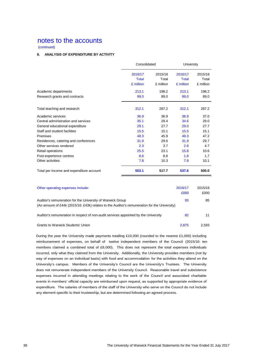(continued)

### **8. ANALYSIS OF EXPENDITURE BY ACTIVITY**

|                                          | Consolidated |           | <b>University</b> |           |
|------------------------------------------|--------------|-----------|-------------------|-----------|
|                                          | 2016/17      | 2015/16   | 2016/17           | 2015/16   |
|                                          | <b>Total</b> | Total     | <b>Total</b>      | Total     |
|                                          | £ million    | £ million | £ million         | £ million |
| Academic departments                     | 213.1        | 198.2     | 213.1             | 198.2     |
| Research grants and contracts            | 99.0         | 89.0      | 99.0              | 89.0      |
| Total teaching and research              | 312.1        | 287.2     | 312.1             | 287.2     |
| Academic services                        | 36.9         | 36.9      | 36.9              | 37.0      |
| Central administration and services      | 35.1         | 29.4      | 34.6              | 29.0      |
| General educational expenditure          | 29.1         | 27.7      | 29.0              | 27.7      |
| Staff and student facilities             | 15.5         | 15.1      | 15.5              | 15.1      |
| Premises                                 | 48.3         | 45.9      | 49.3              | 47.2      |
| Residences, catering and conferences     | 31.9         | 29.6      | 31.9              | 29.7      |
| Other services rendered                  | 2.3          | 3.7       | 2.8               | 4.7       |
| Retail operations                        | 25.5         | 23.1      | 15.8              | 10.6      |
| Post-experience centres                  | 8.6          | 8.8       | 1.8               | 1.7       |
| Other activities                         | 7.8          | 10.3      | 7.9               | 10.1      |
| Total per income and expenditure account | 553.1        | 517.7     | 537.6             | 500.0     |

| Other operating expenses include:                                                                                                                          | 2016/17<br>£000 | 2015/16<br>£000 |
|------------------------------------------------------------------------------------------------------------------------------------------------------------|-----------------|-----------------|
| Auditor's remuneration for the University of Warwick Group<br>(An amount of £44k (2015/16: £43k) relates to the Auditor's remuneration for the University) | 93              | 85              |
| Auditor's remuneration in respect of non-audit services appointed by the University                                                                        | 82              | 11              |
| <b>Grants to Warwick Students' Union</b>                                                                                                                   | 2.875           | 2.593           |

During the year the University made payments totalling £10,000 (rounded to the nearest £1,000) including reimbursement of expenses, on behalf of twelve independent members of the Council (2015/16: ten members claimed a combined total of £8,000). This does not represent the total expenses individuals incurred, only what they claimed from the University. Additionally, the University provides members (not by way of expenses on an individual basis) with food and accommodation for the activities they attend on the University's campus. Members of the University's Council are the University's Trustees. The University does not remunerate independent members of the University Council. Reasonable travel and subsistence expenses incurred in attending meetings relating to the work of the Council and associated charitable events in members' official capacity are reimbursed upon request, as supported by appropriate evidence of expenditure. The salaries of members of the staff of the University who serve on the Council do not include any element specific to their trusteeship, but are determined following an agreed process.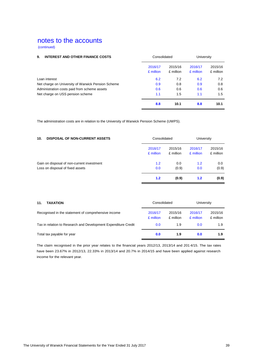(continued)

| 9.<br><b>INTEREST AND OTHER FINANCE COSTS</b>      |                      | Consolidated         |                      | University           |  |
|----------------------------------------------------|----------------------|----------------------|----------------------|----------------------|--|
|                                                    | 2016/17<br>£ million | 2015/16<br>£ million | 2016/17<br>£ million | 2015/16<br>£ million |  |
| Loan interest                                      | 6.2                  | 7.2                  | 6.2                  | 7.2                  |  |
| Net charge on University of Warwick Pension Scheme | 0.9                  | 0.8                  | 0.9                  | 0.8                  |  |
| Administration costs paid from scheme assets       | 0.6                  | 0.6                  | 0.6                  | 0.6                  |  |
| Net charge on USS pension scheme                   | 1.1                  | 1.5                  | 1.1                  | 1.5                  |  |
|                                                    | 8.8                  | 10.1                 | 8.8                  | 10.1                 |  |

The administration costs are in relation to the University of Warwick Pension Scheme (UWPS).

| <b>DISPOSAL OF NON-CURRENT ASSETS</b><br>10. |           | Consolidated |           | University |  |
|----------------------------------------------|-----------|--------------|-----------|------------|--|
|                                              | 2016/17   | 2015/16      | 2016/17   | 2015/16    |  |
|                                              | £ million | £ million    | £ million | £ million  |  |
| Gain on disposal of non-current investment   | 1.2       | 0.0          | 1.2       | 0.0        |  |
| Loss on disposal of fixed assets             | 0.0       | (0.9)        | 0.0       | (0.9)      |  |
|                                              | 1.2       | (0.9)        | 1.2       | (0.9)      |  |

| <b>TAXATION</b><br>11.                                         | Consolidated         |                      | University           |                      |  |
|----------------------------------------------------------------|----------------------|----------------------|----------------------|----------------------|--|
| Recognised in the statement of comprehensive income            | 2016/17<br>£ million | 2015/16<br>£ million | 2016/17<br>£ million | 2015/16<br>£ million |  |
| Tax in relation to Research and Development Expenditure Credit | 0.0                  | 1.9                  | 0.0                  | 1.9                  |  |
| Total tax payable for year                                     | 0.0                  | 1.9                  | 0.0                  | 1.9                  |  |

The claim recognised in the prior year relates to the financial years 2012/13, 2013/14 and 201 4/15. The tax rates have been 23.67% in 2012/13, 22.33% in 2013/14 and 20.7% in 2014/15 and have been applied against research income for the relevant year.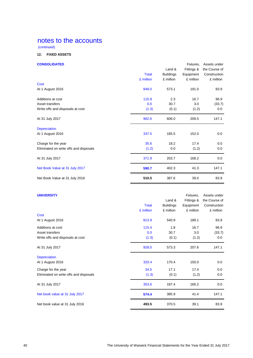(continued)

### **12. FIXED ASSETS**

### **CONSOLIDATED** Fixtures, Assets under

|                                        |              | Land &           | Fittings & | the Course of |
|----------------------------------------|--------------|------------------|------------|---------------|
|                                        | <b>Total</b> | <b>Buildings</b> | Equipment  | Construction  |
|                                        | £ million    | £ million        | £ million  | £ million     |
| <b>Cost</b>                            |              |                  |            |               |
| At 1 August 2016                       | 848.0        | 573.1            | 191.0      | 83.9          |
| Additions at cost                      | 115.9        | 2.3              | 16.7       | 96.9          |
| Asset transfers                        | 0.0          | 30.7             | 3.0        | (33.7)        |
| Write offs and disposals at cost       | (1.3)        | (0.1)            | (1.2)      | 0.0           |
| At 31 July 2017                        | 962.6        | 606.0            | 209.5      | 147.1         |
| <b>Depreciation</b>                    |              |                  |            |               |
| At 1 August 2016                       | 337.5        | 185.5            | 152.0      | 0.0           |
| Charge for the year                    | 35.6         | 18.2             | 17.4       | 0.0           |
| Eliminated on write offs and disposals | (1.2)        | 0.0              | (1.2)      | 0.0           |
| At 31 July 2017                        | 371.9        | 203.7            | 168.2      | 0.0           |
| Net Book Value at 31 July 2017         | 590.7        | 402.3            | 41.3       | 147.1         |
| Net Book Value at 31 July 2016         | 510.5        | 387.6            | 39.0       | 83.9          |

### **UNIVERSITY External System Control Control Control Control Control Control Control Control Control Control Control Control Control Control Control Control Control Control Control Control Control Control Control Control**

|                                        | <b>Total</b> | Land &<br><b>Buildings</b> | Fittings &<br>Equipment | the Course of<br>Construction |
|----------------------------------------|--------------|----------------------------|-------------------------|-------------------------------|
|                                        | £ million    | £ million                  | £ million               | £ million                     |
| Cost                                   |              |                            |                         |                               |
| At 1 August 2016                       | 813.9        | 540.9                      | 189.1                   | 83.9                          |
| Additions at cost                      | 115.4        | 1.8                        | 16.7                    | 96.9                          |
| Asset transfers                        | 0.0          | 30.7                       | 3.0                     | (33.7)                        |
| Write offs and disposals at cost       | (1.3)        | (0.1)                      | (1.2)                   | 0.0                           |
| At 31 July 2017                        | 928.0        | 573.3                      | 207.6                   | 147.1                         |
| <b>Depreciation</b>                    |              |                            |                         |                               |
| At 1 August 2016                       | 320.4        | 170.4                      | 150.0                   | 0.0                           |
| Charge for the year                    | 34.5         | 17.1                       | 17.4                    | 0.0                           |
| Eliminated on write offs and disposals | (1.3)        | (0.1)                      | (1.2)                   | 0.0                           |
| At 31 July 2017                        | 353.6        | 187.4                      | 166.2                   | 0.0                           |
| Net book value at 31 July 2017         | 574.4        | 385.9                      | 41.4                    | 147.1                         |
| Net book value at 31 July 2016         | 493.5        | 370.5                      | 39.1                    | 83.9                          |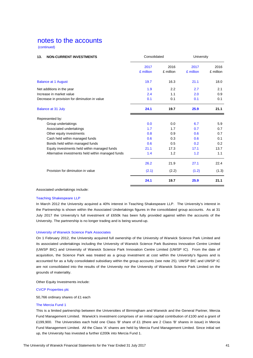(continued)

| 13.<br><b>NON-CURRENT INVESTMENTS</b>             | Consolidated |           | University |           |
|---------------------------------------------------|--------------|-----------|------------|-----------|
|                                                   | 2017         | 2016      | 2017       | 2016      |
|                                                   | £ million    | £ million | £ million  | £ million |
| <b>Balance at 1 August</b>                        | 19.7         | 16.3      | 21.1       | 18.0      |
| Net additions in the year                         | 1.9          | 2.2       | 2.7        | 2.1       |
| Increase in market value                          | 2.4          | 1.1       | 2.0        | 0.9       |
| Decrease in provision for diminution in value     | 0.1          | 0.1       | 0.1        | 0.1       |
| <b>Balance at 31 July</b>                         | 24.1         | 19.7      | 25.9       | 21.1      |
| Represented by:                                   |              |           |            |           |
| Group undertakings                                | 0.0          | 0.0       | 6.7        | 5.9       |
| Associated undertakings                           | 1.7          | 1.7       | 0.7        | 0.7       |
| Other equity investments                          | 0.8          | 0.9       | 0.6        | 0.7       |
| Cash held within managed funds                    | 0.6          | 0.3       | 0.6        | 0.1       |
| Bonds held within managed funds                   | 0.6          | 0.5       | 0.2        | 0.2       |
| Equity investments held within managed funds      | 21.1         | 17.3      | 17.1       | 13.7      |
| Alternative investments held within managed funds | 1.4          | 1.2       | 1.2        | 1.1       |
|                                                   | 26.2         | 21.9      | 27.1       | 22.4      |
| Provision for diminution in value                 | (2.1)        | (2.2)     | (1.2)      | (1.3)     |
|                                                   | 24.1         | 19.7      | 25.9       | 21.1      |

Associated undertakings include:

### Teaching Shakespeare LLP

In March 2012 the University acquired a 40% interest in Teaching Shakespeare LLP. The University's interest in the Partnership is shown within the Associated Undertakings figures in the consolidated group accounts. As at 31 July 2017 the University's full investment of £650k has been fully provided against within the accounts of the University. The partnership is no longer trading and is being wound-up.

#### University of Warwick Science Park Associates

On 1 February 2012, the University acquired full ownership of the University of Warwick Science Park Limited and its associated undertakings including the University of Warwick Science Park Business Innovation Centre Limited (UWSP BIC) and University of Warwick Science Park Innovation Centre Limited (UWSP IC). From the date of acquisition, the Science Park was treated as a group investment at cost within the University's figures and is accounted for as a fully consolidated subsidiary within the group accounts (see note 25). UWSP BIC and UWSP IC are not consolidated into the results of the University nor the University of Warwick Science Park Limited on the grounds of materiality.

Other Equity Investments include:

### CVCP Properties plc

50,766 ordinary shares of £1 each

### The Mercia Fund 1

This is a limited partnership between the Universities of Birmingham and Warwick and the General Partner, Mercia Fund Management Limited. Warwick's investment comprises of an initial capital contribution of £100 and a grant of £199,900. The Universities each hold one Class 'B' share of £1 (there are 2 Class 'B' shares in issue) in Mercia Fund Management Limited. All the Class 'A' shares are held by Mercia Fund Management Limited. Since initial set up, the University has invested a further £200k into Mercia Fund 1.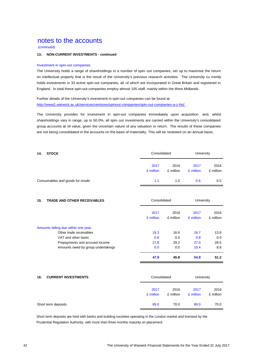(continued)

### **13. NON-CURRENT INVESTMENTS - continued**

#### Investment in spin-out companies

The University holds a range of shareholdings in a number of spin- out companies, set up to maximise the return on intellectual property that is the result of the University's previous research activities. The University cu rrently holds investments in 33 active spin-out companies, all of which are incorporated in Great Britain and registered in England. In total these spin-out companies employ almost 105 staff, mainly within the West Midlands.

Further details of the University's investment in spin-out companies can be found at http://www2.warwick.ac.uk/services/ventures/spinout-companies/spin-out-companies-a-z-list/ .

The University provides for investment in spin-out companies immediately upon acquisition and, whilst shareholdings vary in range, up to 50.0%, all spin- out investments are carried within the University's consolidated group accounts at nil value, given the uncertain nature of any valuation or return. The results of these companies are not being consolidated in the accounts on the basis of materiality. This will be reviewed on an annual basis.

| 14.<br><b>STOCK</b>              |                   | Consolidated      |                   | University        |  |
|----------------------------------|-------------------|-------------------|-------------------|-------------------|--|
|                                  | 2017<br>£ million | 2016<br>£ million | 2017<br>£ million | 2016<br>£ million |  |
| Consumables and goods for resale | 1.1               | 1.0               | 0.6               | 0.5               |  |

### **15. TRADE AND OTHER RECEIVABLES Consolidated** University

|                                      | 2017<br>£ million | 2016<br>£ million | 2017<br>£ million | 2016<br>£ million |
|--------------------------------------|-------------------|-------------------|-------------------|-------------------|
| Amounts falling due within one year: |                   |                   |                   |                   |
| Other trade receivables              | 19.3              | 16.6              | 16.7              | 13.9              |
| VAT and other taxes                  | 0.8               | 0.0               | 0.8               | 0.0               |
| Prepayments and accrued income       | 27.8              | 29.2              | 27.0              | 28.5              |
| Amounts owed by group undertakings   | 0.0               | 0.0               | 10.4              | 8.8               |
|                                      | 47.9              | 45.8              | 54.9              | 51.2              |

| 16.<br><b>CURRENT INVESTMENTS</b> | Consolidated      |                   | University        |                   |
|-----------------------------------|-------------------|-------------------|-------------------|-------------------|
|                                   | 2017<br>£ million | 2016<br>£ million | 2017<br>£ million | 2016<br>£ million |
| Short term deposits               | 89.0              | 70.0              | 89.0              | 70.0              |

Short term deposits are held with banks and building societies operating in the London market and licensed by the Prudential Regulation Authority, with more than three months maturity on placement.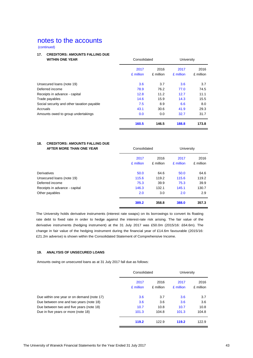(continued)

### **17. CREDITORS: AMOUNTS FALLING DUE**

| <b>WITHIN ONE YEAR</b>                     | Consolidated |           | University |           |
|--------------------------------------------|--------------|-----------|------------|-----------|
|                                            | 2017         | 2016      | 2017       | 2016      |
|                                            | £ million    | £ million | £ million  | £ million |
| Unsecured loans (note 19)                  | 3.6          | 3.7       | 3.6        | 3.7       |
| Deferred income                            | 78.9         | 76.2      | 77.0       | 74.5      |
| Receipts in advance - capital              | 12.8         | 11.2      | 12.7       | 11.1      |
| Trade payables                             | 14.6         | 15.9      | 14.3       | 15.5      |
| Social security and other taxation payable | 7.5          | 8.9       | 6.6        | 8.0       |
| Accruals                                   | 43.1         | 30.6      | 41.9       | 29.3      |
| Amounts owed to group undertakings         | 0.0          | 0.0       | 32.7       | 31.7      |
|                                            | 160.5        | 146.5     | 188.8      | 173.8     |

### **18. CREDITORS: AMOUNTS FALLING DUE AFTER MORE THAN ONE YEAR** Consolidated University

| AFIER MURE INAN UNE TEAR      | Consolidated      |                   | UNIVERSITY        |                   |
|-------------------------------|-------------------|-------------------|-------------------|-------------------|
|                               | 2017<br>£ million | 2016<br>£ million | 2017<br>£ million | 2016<br>£ million |
| <b>Derivatives</b>            | 50.0              | 64.6              | 50.0              | 64.6              |
| Unsecured loans (note 19)     | 115.6             | 119.2             | 115.6             | 119.2             |
| Deferred income               | 75.3              | 39.9              | 75.3              | 39.9              |
| Receipts in advance - capital | 146.3             | 132.1             | 145.1             | 130.7             |
| Other payables                | 2.0               | 3.0               | 2.0               | 2.9               |
|                               | 389.2             | 358.8             | 388.0             | 357.3             |

The University holds derivative instruments (interest rate swaps) on its borrowings to convert its floating rate debt to fixed rate in order to hedge against the interest-rate risk arising. The fair value of the derivative instruments (hedging instrument) at the 31 July 2017 was £50.0m (2015/16: £64.6m). The change in fair value of the hedging instrument during the financial year of £14.6m favourable (2015/16: £21.2m adverse) is shown within the Consolidated Statement of Comprehensive Income.

### **19. ANALYSIS OF UNSECURED LOANS**

Amounts owing on unsecured loans as at 31 July 2017 fall due as follows:

|                                            | Consolidated      |                   | University        |                   |
|--------------------------------------------|-------------------|-------------------|-------------------|-------------------|
|                                            | 2017<br>£ million | 2016<br>£ million | 2017<br>£ million | 2016<br>£ million |
| Due within one year or on demand (note 17) | 3.6               | 3.7               | 3.6               | 3.7               |
| Due between one and two years (note 18)    | 3.6               | 3.6               | 3.6               | 3.6               |
| Due between two and five years (note 18)   | 10.7              | 10.8              | 10.7              | 10.8              |
| Due in five years or more (note 18)        | 101.3             | 104.8             | 101.3             | 104.8             |
|                                            | 119.2             | 122.9             | 119.2             | 122.9             |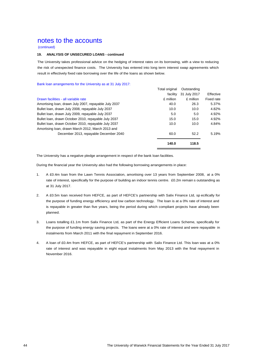(continued)

### **19. ANALYSIS OF UNSECURED LOANS - continued**

The University takes professional advice on the hedging of interest rates on its borrowing, with a view to reducing the risk of unexpected finance costs. The University has entered into long term interest swap agreements which result in effectively fixed rate borrowing over the life of the loans as shown below.

Bank loan arrangements for the University as at 31 July 2017:

| <b>Total original</b> | Outstanding  |            |
|-----------------------|--------------|------------|
| facility              | 31 July 2017 | Effective  |
| £ million             | £ million    | Fixed rate |
| 40.0                  | 26.3         | 5.37%      |
| 10.0                  | 10.0         | 4.82%      |
| 5.0                   | 5.0          | 4.92%      |
| 15.0                  | 15.0         | 4.92%      |
| 10.0                  | 10.0         | 4.84%      |
|                       |              |            |
| 60.0                  | 52.2         | 5.19%      |
| 140.0                 | 118.5        |            |
|                       |              |            |

The University has a negative pledge arrangement in respect of the bank loan facilities.

During the financial year the University also had the following borrowing arrangements in place:

- 1. A £0.4m loan from the Lawn Tennis Association, amortising over 13 years from September 2008, at a 0% rate of interest, specifically for the purpose of building an indoor tennis centre. £0.2m remain s outstanding as at 31 July 2017.
- 2. A £0.5m loan received from HEFCE, as part of HEFCE's partnership with Salix Finance Ltd, sp ecifically for the purpose of funding energy efficiency and low carbon technology. The loan is at a 0% rate of interest and is repayable in greater than five years, being the period during which compliant projects have already been planned.
- 3. Loans totalling £1.1m from Salix Finance Ltd, as part of the Energy Efficient Loans Scheme, specifically for the purpose of funding energy saving projects. The loans were at a 0% rate of interest and were repayable in instalments from March 2011 with the final repayment in September 2016.
- 4. A loan of £0.4m from HEFCE, as part of HEFCE's partnership with Salix Finance Ltd. This loan was at a 0% rate of interest and was repayable in eight equal instalments from May 2013 with the final repayment in November 2016.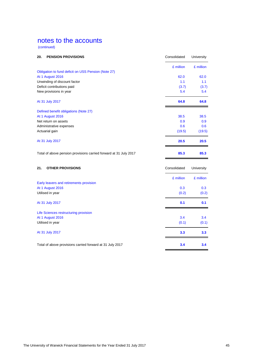(continued)

| £ million<br>Obligation to fund deficit on USS Pension (Note 27)<br>At 1 August 2016<br>62.0<br>Unwinding of discount factor<br>1.1<br>Deficit contributions paid<br>(3.7)<br>New provisions in year<br>5.4<br>64.8<br>At 31 July 2017<br>Defined benefit obligations (Note 27)<br>At 1 August 2016<br>38.5<br>Net return on assets<br>0.9<br>0.6<br>Administrative expenses<br>Actuarial gain<br>(19.5)<br>20.5<br>At 31 July 2017<br>85.3<br>Total of above pension provisions carried forward at 31 July 2017<br>21.<br><b>OTHER PROVISIONS</b><br>Consolidated<br>£ million<br>Early leavers and retirements provision<br>At 1 August 2016<br>0.3<br>Utilised in year<br>(0.2)<br>0.1<br>At 31 July 2017<br>Life Sciences restructuring provision<br>At 1 August 2016<br>3.4<br>Utilised in year<br>(0.1)<br>3.3<br>At 31 July 2017 | 20. | <b>PENSION PROVISIONS</b> | Consolidated | University |
|-----------------------------------------------------------------------------------------------------------------------------------------------------------------------------------------------------------------------------------------------------------------------------------------------------------------------------------------------------------------------------------------------------------------------------------------------------------------------------------------------------------------------------------------------------------------------------------------------------------------------------------------------------------------------------------------------------------------------------------------------------------------------------------------------------------------------------------------|-----|---------------------------|--------------|------------|
|                                                                                                                                                                                                                                                                                                                                                                                                                                                                                                                                                                                                                                                                                                                                                                                                                                         |     |                           |              | £ million  |
|                                                                                                                                                                                                                                                                                                                                                                                                                                                                                                                                                                                                                                                                                                                                                                                                                                         |     |                           |              |            |
|                                                                                                                                                                                                                                                                                                                                                                                                                                                                                                                                                                                                                                                                                                                                                                                                                                         |     |                           |              | 62.0       |
|                                                                                                                                                                                                                                                                                                                                                                                                                                                                                                                                                                                                                                                                                                                                                                                                                                         |     |                           |              | 1.1        |
|                                                                                                                                                                                                                                                                                                                                                                                                                                                                                                                                                                                                                                                                                                                                                                                                                                         |     |                           |              | (3.7)      |
|                                                                                                                                                                                                                                                                                                                                                                                                                                                                                                                                                                                                                                                                                                                                                                                                                                         |     |                           |              | 5.4        |
|                                                                                                                                                                                                                                                                                                                                                                                                                                                                                                                                                                                                                                                                                                                                                                                                                                         |     |                           |              | 64.8       |
|                                                                                                                                                                                                                                                                                                                                                                                                                                                                                                                                                                                                                                                                                                                                                                                                                                         |     |                           |              |            |
|                                                                                                                                                                                                                                                                                                                                                                                                                                                                                                                                                                                                                                                                                                                                                                                                                                         |     |                           |              | 38.5       |
|                                                                                                                                                                                                                                                                                                                                                                                                                                                                                                                                                                                                                                                                                                                                                                                                                                         |     |                           |              | 0.9        |
|                                                                                                                                                                                                                                                                                                                                                                                                                                                                                                                                                                                                                                                                                                                                                                                                                                         |     |                           |              | 0.6        |
|                                                                                                                                                                                                                                                                                                                                                                                                                                                                                                                                                                                                                                                                                                                                                                                                                                         |     |                           |              | (19.5)     |
|                                                                                                                                                                                                                                                                                                                                                                                                                                                                                                                                                                                                                                                                                                                                                                                                                                         |     |                           |              | 20.5       |
|                                                                                                                                                                                                                                                                                                                                                                                                                                                                                                                                                                                                                                                                                                                                                                                                                                         |     |                           |              | 85.3       |
|                                                                                                                                                                                                                                                                                                                                                                                                                                                                                                                                                                                                                                                                                                                                                                                                                                         |     |                           |              | University |
|                                                                                                                                                                                                                                                                                                                                                                                                                                                                                                                                                                                                                                                                                                                                                                                                                                         |     |                           |              | £ million  |
|                                                                                                                                                                                                                                                                                                                                                                                                                                                                                                                                                                                                                                                                                                                                                                                                                                         |     |                           |              |            |
|                                                                                                                                                                                                                                                                                                                                                                                                                                                                                                                                                                                                                                                                                                                                                                                                                                         |     |                           |              | 0.3        |
|                                                                                                                                                                                                                                                                                                                                                                                                                                                                                                                                                                                                                                                                                                                                                                                                                                         |     |                           |              | (0.2)      |
|                                                                                                                                                                                                                                                                                                                                                                                                                                                                                                                                                                                                                                                                                                                                                                                                                                         |     |                           |              | 0.1        |
|                                                                                                                                                                                                                                                                                                                                                                                                                                                                                                                                                                                                                                                                                                                                                                                                                                         |     |                           |              |            |
|                                                                                                                                                                                                                                                                                                                                                                                                                                                                                                                                                                                                                                                                                                                                                                                                                                         |     |                           |              | 3.4        |
|                                                                                                                                                                                                                                                                                                                                                                                                                                                                                                                                                                                                                                                                                                                                                                                                                                         |     |                           |              | (0.1)      |
|                                                                                                                                                                                                                                                                                                                                                                                                                                                                                                                                                                                                                                                                                                                                                                                                                                         |     |                           |              | 3.3        |
| Total of above provisions carried forward at 31 July 2017                                                                                                                                                                                                                                                                                                                                                                                                                                                                                                                                                                                                                                                                                                                                                                               |     |                           | 3.4          | 3.4        |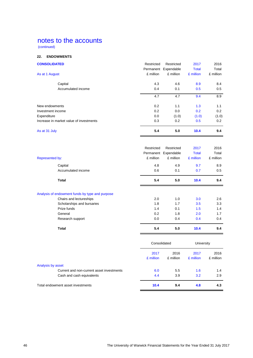(continued)

### **22. ENDOWMENTS**

| <b>CONSOLIDATED</b>                     | Restricted | Restricted<br>Permanent Expendable | 2017<br><b>Total</b> | 2016<br>Total |
|-----------------------------------------|------------|------------------------------------|----------------------|---------------|
| As at 1 August                          | £ million  | £ million                          | £ million            | £ million     |
| Capital                                 | 4.3        | 4.6                                | 8.9                  | 8.4           |
| Accumulated income                      | 0.4        | 0.1                                | 0.5                  | 0.5           |
|                                         | 4.7        | 4.7                                | 9.4                  | 8.9           |
| New endowments                          | 0.2        | 1.1                                | 1.3                  | 1.1           |
| Investment income                       | 0.2        | 0.0                                | 0.2                  | 0.2           |
| Expenditure                             | 0.0        | (1.0)                              | (1.0)                | (1.0)         |
| Increase in market value of investments | 0.3        | 0.2                                | 0.5                  | 0.2           |
| As at 31 July                           | 5.4        | 5.0                                | 10.4                 | 9.4           |
|                                         |            |                                    |                      |               |
|                                         | Restricted | Restricted                         | 2017                 | 2016          |
|                                         |            | Permanent Expendable               | <b>Total</b>         | Total         |

| Represented by:                                 | £ million         | £ million         | £ million         | £ million         |
|-------------------------------------------------|-------------------|-------------------|-------------------|-------------------|
| Capital                                         | 4.8               | 4.9               | 9.7               | 8.9               |
| Accumulated income                              | 0.6               | 0.1               | 0.7               | 0.5               |
| <b>Total</b>                                    | 5.4               | 5.0               | 10.4              | 9.4               |
| Analysis of endowment funds by type and purpose |                   |                   |                   |                   |
| Chairs and lectureships                         | 2.0               | 1.0               | 3.0               | 2.6               |
| Scholarships and bursaries                      | 1.8               | 1.7               | 3.5               | 3.3               |
| Prize funds                                     | 1.4               | 0.1               | 1.5               | 1.4               |
| General                                         | 0.2               | 1.8               | 2.0               | 1.7               |
| Research support                                | 0.0               | 0.4               | 0.4               | 0.4               |
| <b>Total</b>                                    | 5.4               | 5.0               | 10.4              | 9.4               |
|                                                 | Consolidated      |                   | University        |                   |
|                                                 | 2017<br>£ million | 2016<br>£ million | 2017<br>£ million | 2016<br>£ million |

|                                           | $\sim$ $\cdots$ |     | $\sim$ 111111011 |     |
|-------------------------------------------|-----------------|-----|------------------|-----|
| Analysis by asset                         |                 |     |                  |     |
| Current and non-current asset investments | 6.0             | 5.5 | 1.6              | 1.4 |
| Cash and cash equivalents                 | 4.4             | 3.9 | 3.2              | 2.9 |
| Total endowment asset investments         | 10.4            | 9.4 | 4.8              | 4.3 |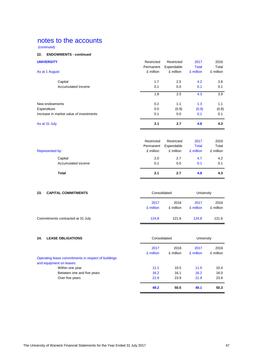(continued)

### **22. ENDOWMENTS - continued**

| <b>UNIVERSITY</b>                       | Restricted | Restricted | 2017         | 2016      |
|-----------------------------------------|------------|------------|--------------|-----------|
|                                         | Permanent  | Expendable | <b>Total</b> | Total     |
| As at 1 August                          | £ million  | £ million  | £ million    | £ million |
| Capital                                 | 1.7        | 2.5        | 4.2          | 3.8       |
| Accumulated Income                      | 0.1        | 0.0        | 0.1          | 0.1       |
|                                         | 1.8        | 2.5        | 4.3          | 3.9       |
| New endowments                          | 0.2        | 1.1        | 1.3          | 1.1       |
| Expenditure                             | 0.0        | (0.9)      | (0.9)        | (0.8)     |
| Increase in market value of investments | 0.1        | 0.0        | 0.1          | 0.1       |
| As at 31 July                           | 2.1        | 2.7        | 4.8          | 4.3       |
|                                         | Restricted | Restricted | 2017         | 2016      |
|                                         | Permanent  | Expendable | <b>Total</b> | Total     |
| Represented by:                         | £ million  | £ million  | £ million    | £ million |
| Capital                                 | 2.0        | 2.7        | 4.7          | 4.2       |
| Accumulated income                      | 0.1        | 0.0        | 0.1          | 0.1       |
| <b>Total</b>                            | 2.1        | 2.7        | 4.8          | 4.3       |

| 23.<br><b>CAPITAL COMMITMENTS</b> | Consolidated      |                   | University        |                   |
|-----------------------------------|-------------------|-------------------|-------------------|-------------------|
|                                   | 2017<br>£ million | 2016<br>£ million | 2017<br>£ million | 2016<br>£ million |
| Commitments contracted at 31 July | 124.8             | 121.6             | 124.8             | 121.6             |

| 24. | <b>LEASE OBLIGATIONS</b>                                                        | Consolidated      |                   | University        |                   |
|-----|---------------------------------------------------------------------------------|-------------------|-------------------|-------------------|-------------------|
|     |                                                                                 | 2017<br>£ million | 2016<br>£ million | 2017<br>£ million | 2016<br>£ million |
|     | Operating lease commitments in respect of buildings<br>and equipment on leases: |                   |                   |                   |                   |
|     | Within one year                                                                 | 11.1              | 10.5              | 11.0              | 10.4              |
|     | Between one and five years                                                      | 16.2              | 16.1              | 16.2              | 16.0              |
|     | Over five years                                                                 | 21.9              | 23.9              | 21.9              | 23.9              |
|     |                                                                                 | 49.2              | 50.5              | 49.1              | 50.3              |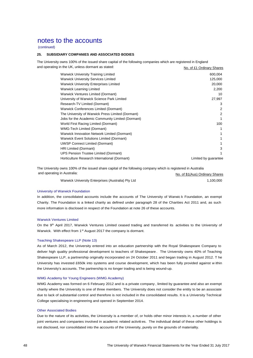#### (continued)

### **25. SUBSIDIARY COMPANIES AND ASSOCIATED BODIES**

The University owns 100% of the issued share capital of the following companies which are registered in England and operating in the UK, unless dormant as stated: No. of £1 Ordinary Shares

| <b>Warwick University Training Limited</b>        | 600,004              |
|---------------------------------------------------|----------------------|
| <b>Warwick University Services Limited</b>        | 125,000              |
| <b>Warwick University Enterprises Limited</b>     | 20,000               |
| <b>Warwick Learning Limited</b>                   | 2,200                |
| Warwick Ventures Limited (Dormant)                | 10                   |
| University of Warwick Science Park Limited        | 27,997               |
| Research-TV Limited (Dormant)                     | 3                    |
| Warwick Conferences Limited (Dormant)             | 2                    |
| The University of Warwick Press Limited (Dormant) | 2                    |
| Jobs for the Academic Community Limited (Dormant) |                      |
| World First Racing Limited (Dormant)              | 100                  |
| <b>WMG-Tech Limited (Dormant)</b>                 |                      |
| Warwick Innovation Network Limited (Dormant)      |                      |
| Warwick Event Solutions Limited (Dormant)         |                      |
| <b>UWSP Connect Limited (Dormant)</b>             |                      |
| HRI Limited (Dormant)                             | 3                    |
| <b>UPS Pension Trustee Limited (Dormant)</b>      |                      |
| Horticulture Research International (Dormant)     | Limited by guarantee |
|                                                   |                      |

The University owns 100% of the issued share capital of the following company which is registered in Australia and operating in Australia: No. of \$1(Aus) Ordinary Shares

| Warwick University Enterprises (Australia) Pty Ltd | 1,100,000 |
|----------------------------------------------------|-----------|
|                                                    |           |

#### University of Warwick Foundation

In addition, the consolidated accounts include the accounts of The University of Warwic k Foundation, an exempt Charity. The Foundation is a linked charity as defined under paragraph 28 of the Charities Act 2011 and, as such more information is disclosed in respect of the Foundation at note 26 of these accounts.

#### Warwick Ventures Limited

On the 9<sup>th</sup> April 2017, Warwick Ventures Limited ceased trading and transferred its activities to the University of Warwick. With effect from 1<sup>st</sup> August 2017 the company is dormant.

### Teaching Shakespeare LLP (Note 13)

As of March 2012, the University entered into an education partnership with the Royal Shakespeare Company to deliver high quality professional development to teachers of Shakespeare . The University owns 40% of Teaching Shakespeare LLP, a partnership originally incorporated on 24 October 2011 and began trading in August 2012. T he University has invested £650k into systems and course development, which has been fully provided against w ithin the University's accounts. The partnership is no longer trading and is being wound-up.

#### WMG Academy for Young Engineers (WMG Academy)

WMG Academy was formed on 6 February 2012 and is a private company , limited by guarantee and also an exempt charity where the University is one of three members. The University does not consider the entity to be an associate due to lack of substantial control and therefore is not included in the consolidated results. It is a University Technical College specialising in engineering and opened in September 2014.

#### Other Associated Bodies

Due to the nature of its activities, the University is a member of, or holds other minor interests in, a number of other joint ventures and companies involved in academic related activities. The individual detail of these other holdings is not disclosed, nor consolidated into the accounts of the University, purely on the grounds of materiality.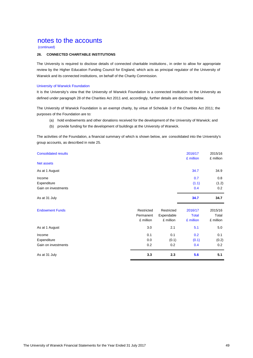(continued)

### **26. CONNECTED CHARITABLE INSTITUTIONS**

The University is required to disclose details of connected charitable institutions , in order to allow for appropriate review by the Higher Education Funding Council for England, which acts as principal regulator of the University of Warwick and its connected institutions, on behalf of the Charity Commission.

### University of Warwick Foundation

It is the University's view that the University of Warwick Foundation is a connected institution to the University as defined under paragraph 28 of the Charities Act 2011 and, accordingly, further details are disclosed below.

The University of Warwick Foundation is an exempt charity, by virtue of Schedule 3 of the Charities Act 2011; the purposes of the Foundation are to:

- (a) hold endowments and other donations received for the development of the University of Warwick; and
- (b) provide funding for the development of buildings at the University of Warwick.

The activities of the Foundation, a financial summary of which is shown below, are consolidated into the University's group accounts, as described in note 25.

| <b>Consolidated results</b><br>Net assets | 2016/17<br>£ million | 2015/16<br>£ million |
|-------------------------------------------|----------------------|----------------------|
| As at 1 August                            | 34.7                 | 34.9                 |
|                                           |                      |                      |
| Income                                    | 0.7                  | 0.8                  |
| Expenditure                               | (1.1)                | (1.2)                |
| Gain on investments                       | 0.4                  | 0.2                  |
| As at 31 July                             | 34.7                 | 34.7                 |

| <b>Endowment Funds</b> | Restricted<br>Permanent<br>£ million | Restricted<br>Expendable<br>£ million | 2016/17<br><b>Total</b><br>£ million | 2015/16<br>Total<br>£ million |
|------------------------|--------------------------------------|---------------------------------------|--------------------------------------|-------------------------------|
| As at 1 August         | 3.0                                  | 2.1                                   | 5.1                                  | 5.0                           |
| Income                 | 0.1                                  | 0.1                                   | 0.2                                  | 0.1                           |
| Expenditure            | 0.0                                  | (0.1)                                 | (0.1)                                | (0.2)                         |
| Gain on investments    | 0.2                                  | 0.2                                   | 0.4                                  | 0.2                           |
| As at 31 July          | 3.3                                  | 2.3                                   | 5.6                                  | 5.1                           |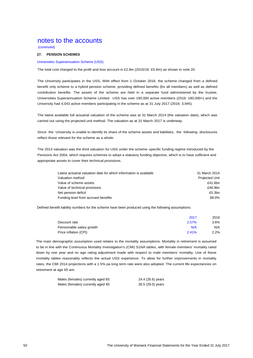(continued)

### **27. PENSION SCHEMES**

#### Universities Superannuation Scheme (USS)

The total cost charged to the profit and loss account is £2.8m (2015/16: £5.8m) as shown in note 20.

The University participates in the USS, With effect from 1 October 2016, the scheme changed from a defined benefit only scheme to a hybrid pension scheme, providing defined benefits (for all members) as well as defined Universities Superannuation Scheme Limited. USS has over 190,000 active members (2016: 180,000+) and the University had 4,043 active members participating in the scheme as at 31 July 2017 (2016: 3,945). contribution benefits. The assets of the scheme are held in a separate fund administered by the trustee,

The latest available full actuarial valuation of the scheme was at 31 March 2014 (the valuation date), which was carried out using the projected unit method. The valuation as at 31 March 2017 is underway.

The 2014 value the 2014 value third value the scheme intervals under the schemes per the scheme intervals regime intervals regime intervals regime intervals regime intervals in the schemes of the schemes of the schemes of Since the University is unable to identify its share of the scheme assets and liabilities, the following disclosures reflect those relevant for the scheme as a whole.

The 2014 valuation was the third valuation for USS under the scheme ‐specific funding regime introduced by the and the term consumer the cover the cover their technical provisions of provisions. The cover the cover the co<br>Pensions Act 2004, which requires schemes to adopt a statutory funding objective, which is to have sufficient a appropriate assets to cover their technical provisions.

| Latest actuarial valuation date for which information is available | 31 March 2014         |
|--------------------------------------------------------------------|-----------------------|
| Valuation method                                                   | <b>Projected Unit</b> |
| Value of scheme assets                                             | £41.6bn               |
| Value of technical provisions                                      | £46.9bn               |
| Net pension deficit                                                | £5.3bn                |
| Funding level from accrued benefits                                | 89.0%                 |

Defined benefit liability numbers for the scheme have been produced using the following assumptions:

|                           | 2017  | 2016 |
|---------------------------|-------|------|
| Discount rate             | 2.57% | 3.6% |
| Pensionable salary growth | N/A   | N/A  |
| Price inflation (CPI)     | 2.41% | 2.2% |

The main demographic assumption used relates to the mortality assumptions. Mortality in retirement is assumed to be in line with the Continuous Mortality Investigation's (CMI) S1NA tables, with female members' mortality rated down by one year and no age rating adjustment made with respect to male members' mortality. Use of these mortality tables reasonably reflects the actual USS experience. To allow for further improvements in mortality rates, the CMI 2014 projections with a 1.5% pa long term rate were also adopted. The current life expectancies on retirement at age 65 are:

| Males (females) currently aged 65: | 24.4 (26.6) years |
|------------------------------------|-------------------|
| Males (females) currently aged 45: | 26.5 (29.0) years |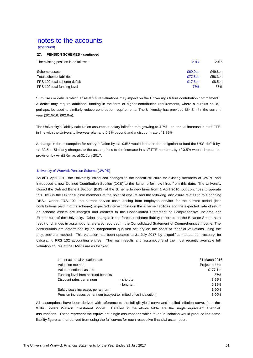(continued)

### **27. PENSION SCHEMES - continued**

| The existing position is as follows: | 2017                | 2016    |
|--------------------------------------|---------------------|---------|
| Scheme assets                        | £60.0 <sub>bn</sub> | £49.8bn |
| Total scheme liabilities             | £77.5bn             | £58.3bn |
| FRS 102 total scheme deficit         | £17.5 $bn$          | £8.5bn  |
| FRS 102 total funding level          | 77%                 | 85%     |
|                                      |                     |         |

Surpluses or deficits which arise at future valuations may impact on the University's future contribution commitment. A deficit may require additional funding in the form of higher contribution requirements, where a surplus could, perhaps, be used to similarly reduce contribution requirements. The University has provided £64.8m in the current year (2015/16: £62.0m).

The University's liability calculation assumes a salary inflation rate growing to 4.7%, an annual increase in staff FTE in line with the University five-year plan and 0.5% beyond and a discount rate of 1.85%.

A change in the assumption for salary inflation by +/ - 0.5% would increase the obligation to fund the USS deficit by +/- £2.5m. Similarly changes to the assumptions to the increase in staff FTE numbers by +/-0.5% would impact the provision by +/- £2.6m as at 31 July 2017.

### University of Warwick Pension Scheme (UWPS)

As of 1 April 2010 the University introduced changes to the benefit structure for existing members of UWPS and introduced a new Defined Contribution Section (DCS) to the Scheme for new hires from this date. The University closed the Defined Benefit Section (DBS) of the Scheme to new hires from 1 April 2010, but continues to operate this DBS in the UK for eligible members at the point of closure and the following disclosure relates to this ongoing DBS. Under FRS 102, the current service costs arising from employee service for the current period (less contributions paid into the scheme), expected interest costs on the scheme liabilities and the expected rate of return on scheme assets are charged and credited to the Consolidated Statement of Comprehensive Inc ome and Expenditure of the University. Other changes in the forecast scheme liability recorded on the Balance Sheet, as a result of changes in assumptions, are also recorded in the Consolidated Statement of Comprehensive Income. The contributions are determined by an independent qualified actuary on the basis of triennial valuations using the projected unit method. This valuation has been updated to 31 July 2017 by a qualified independent actuary, for calculating FRS 102 accounting entries. The main results and assumptions of the most recently available full valuation figures of the UWPS are as follows:

| Latest actuarial valuation date                                   |              | 31 March 2016         |
|-------------------------------------------------------------------|--------------|-----------------------|
| Valuation method                                                  |              | <b>Projected Unit</b> |
| Value of notional assets                                          |              | £177.1m               |
| Funding level from accrued benefits                               |              | 87%                   |
| Discount rates per annum                                          | - short term | 3.65%                 |
|                                                                   | - long term  | 2.15%                 |
| Salary scale increases per annum                                  |              | 1.90%                 |
| Pension increases per annum (subject to limited price indexation) |              | 3.00%                 |

All assumptions have been derived with reference to the full gilt yield curve and implied inflation curve, from the Willis Towers Watson Investment Model. Detailed in the above table are the single equivalent financial assumptions. These represent the equivalent single assumptions which taken in isolation would produce the same liability figure as that derived from using the full curves for each respective financial assumption.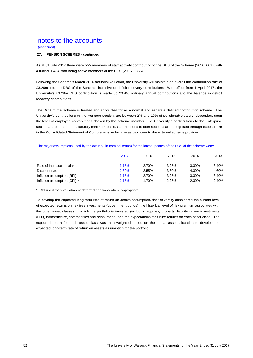(continued)

### **27. PENSION SCHEMES - continued**

As at 31 July 2017 there were 555 members of staff actively contributing to the DBS of the Scheme (2016: 609), with a further 1,434 staff being active members of the DCS (2016: 1355).

Following the Scheme's March 2016 actuarial valuation, the University will maintain an overall flat contribution rate of £3.29m into the DBS of the Scheme, inclusive of deficit recovery contributions. With effect from 1 April 2017, the University's £3.29m DBS contribution is made up 20.4% ordinary annual contributions and the balance in deficit recovery contributions.

The DCS of the Scheme is treated and accounted for as a normal and separate defined contribution scheme. The University's contributions to the Heritage section, are between 2% and 10% of pensionable salary, dependent upon the level of employee contributions chosen by the scheme member. The University's contributions to the Enterprise section are based on the statutory minimum basis. Contributions to both sections are recognised through expenditure in the Consolidated Statement of Comprehensive Income as paid over to the external scheme provider.

### The major assumptions used by the actuary (in nominal terms) for the latest updates of the DBS of the scheme were:

|                              | 2017  | 2016  | 2015  | 2014  | 2013  |
|------------------------------|-------|-------|-------|-------|-------|
| Rate of increase in salaries | 3.15% | 2.70% | 3.25% | 3.30% | 3.40% |
| Discount rate                | 2.60% | 2.55% | 3.80% | 4.30% | 4.60% |
| Inflation assumption (RPI)   | 3.15% | 2.70% | 3.25% | 3.30% | 3.40% |
| Inflation assumption (CPI) * | 2.15% | 1.70% | 2.25% | 2.30% | 2.40% |

\* CPI used for revaluation of deferred pensions where appropriate.

To develop the expected long-term rate of return on assets assumption, the University considered the current level of expected returns on risk free investments (government bonds), the historical level of risk premium associated with the other asset classes in which the portfolio is invested (including equities, property, liability driven investments (LDI), infrastructure, commodities and reinsurance) and the expectations for future returns on each asset class. The expected return for each asset class was then weighted based on the actual asset allocation to develop the expected long-term rate of return on assets assumption for the portfolio.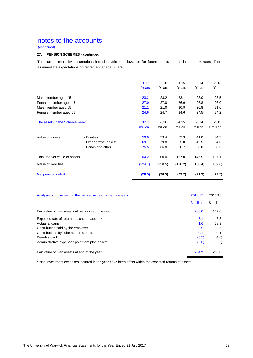(continued)

### **27. PENSION SCHEMES - continued**

The current mortality assumptions include sufficient allowance for future improvements in mortality rates. The assumed life expectations on retirement at age 65 are:

|                                |                       | 2017<br>Years | 2016<br>Years | 2015<br>Years | 2014<br>Years | 2013<br>Years |
|--------------------------------|-----------------------|---------------|---------------|---------------|---------------|---------------|
| Male member aged 45            |                       | 23.2          | 23.2          | 23.1          | 23.0          | 23.5          |
| Female member aged 45          |                       | 27.0          | 27.0          | 26.9          | 26.8          | 26.0          |
| Male member aged 65            |                       | 21.1          | 21.0          | 20.9          | 20.8          | 21.6          |
| Female member aged 65          |                       | 24.6          | 24.7          | 24.6          | 24.5          | 24.2          |
| The assets in the Scheme were: |                       | 2017          | 2016          | 2015          | 2014          | 2013          |
|                                |                       | £ million     | £ million     | £ million     | £ million     | £ million     |
| Value of assets                | - Equities            | 59.0          | 53.4          | 53.3          | 41.0          | 34.3          |
|                                | - Other growth assets | 69.7          | 79.8          | 55.0          | 42.5          | 34.3          |
|                                | - Bonds and other     | 75.5          | 66.8          | 58.7          | 63.0          | 68.5          |
| Total market value of assets   |                       | 204.2         | 200.0         | 167.0         | 146.5         | 137.1         |
| Value of liabilities           |                       | (224.7)       | (238.5)       | (190.2)       | (168.4)       | (159.6)       |
| Net pension deficit            |                       | (20.5)        | (38.5)        | (23.2)        | (21.9)        | (22.5)        |

| Analysis of movement in the market value of scheme assets | 2016/17   | 2015/16   |
|-----------------------------------------------------------|-----------|-----------|
|                                                           | £ million | £ million |
| Fair value of plan assets at beginning of the year        | 200.0     | 167.0     |
| Expected rate of return on scheme assets *                | 5.1       | 6.3       |
| Actuarial gains                                           | 1.6       | 28.3      |
| Contribution paid by the employer                         | 3.5       | 3.5       |
| Contributions by scheme participants                      | 0.1       | 0.1       |
| Benefits paid                                             | (5.5)     | (4.6)     |
| Administrative expenses paid from plan assets             | (0.6)     | (0.6)     |
| Fair value of plan assets at end of the year              | 204.2     | 200.0     |

\* Non-investment expenses incurred in the year have been offset within the expected returns of assets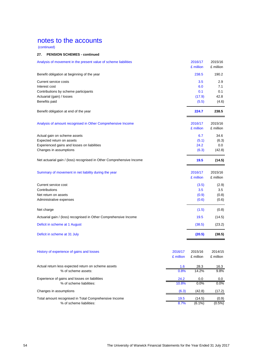(continued)

### **27. PENSION SCHEMES - continued**

| Analysis of movement in the present value of scheme liabilities      |                      | 2016/17<br>£ million | 2015/16<br>£ million |
|----------------------------------------------------------------------|----------------------|----------------------|----------------------|
| Benefit obligation at beginning of the year                          |                      | 238.5                | 190.2                |
| Current service costs                                                |                      | 3.5                  | 2.9                  |
| Interest cost                                                        |                      | 6.0                  | 7.1                  |
| Contributions by scheme participants                                 |                      | 0.1                  | 0.1                  |
| Actuarial (gain) / losses                                            |                      | (17.9)               | 42.8                 |
| Benefits paid                                                        |                      | (5.5)                | (4.6)                |
| Benefit obligation at end of the year                                |                      | 224.7                | 238.5                |
| Analysis of amount recognised in Other Comprehensive Income          |                      | 2016/17<br>£ million | 2015/16<br>£ million |
| Actual gain on scheme assets                                         |                      | 6.7                  | 34.6                 |
| Expected return on assets                                            |                      | (5.1)                | (6.3)                |
| Experienced gains and losses on liabilities                          |                      | 24.2                 | 0.0                  |
| Changes in assumptions                                               |                      | (6.3)                | (42.8)               |
| Net actuarial gain / (loss) recognised in Other Comprehensive Income |                      | 19.5                 | (14.5)               |
| Summary of movement in net liability during the year                 |                      | 2016/17              | 2015/16              |
|                                                                      |                      | £ million            | £ million            |
| Current service cost                                                 |                      | (3.5)                | (2.9)                |
| Contributions                                                        |                      | 3.5                  | 3.5                  |
| Net return on assets                                                 |                      | (0.9)                | (0.8)                |
| Administrative expenses                                              |                      | (0.6)                | (0.6)                |
| Net charge                                                           |                      | (1.5)                | (0.8)                |
| Actuarial gain / (loss) recognised in Other Comprehensive Income     |                      | 19.5                 | (14.5)               |
| Deficit in scheme at 1 August                                        |                      | (38.5)               | (23.2)               |
| Deficit in scheme at 31 July                                         |                      | (20.5)               | (38.5)               |
| History of experience of gains and losses                            | 2016/17<br>£ million | 2015/16<br>£ million | 2014/15<br>£ million |
| Actual return less expected return on scheme assets                  | 1.6                  | 28.3                 | 16.3                 |
| % of scheme assets:                                                  | 0.8%                 | 14.2%                | 9.8%                 |
| Experience of gains and losses on liabilities                        | 24.2                 | 0.0                  | 0.0                  |
| % of scheme liabilities:                                             | 10.8%                | 0.0%                 | 0.0%                 |
| Changes in assumptions                                               | (6.3)                | (42.8)               | (17.2)               |
| Total amount recognised in Total Comprehensive Income                | 19.5                 | (14.5)               | (0.9)                |
| % of scheme liabilities:                                             | 8.7%                 | $(6.1\%)$            | $(0.5\%)$            |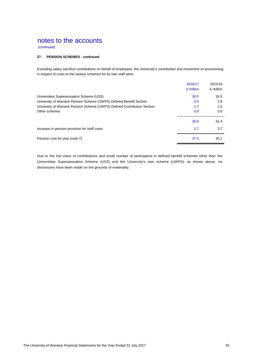(continued)

### **27. PENSION SCHEMES - continued**

Excluding salary sacrifice contributions on behalf of employees, the University's contribution and movement on provisioning in respect of costs to the various schemes for its own staff were:

|                                                                          | 2016/17   | 2015/16   |
|--------------------------------------------------------------------------|-----------|-----------|
|                                                                          | £ million | £ million |
| Universities Superannuation Scheme (USS)                                 | 30.5      | 26.5      |
| University of Warwick Pension Scheme (UWPS) Defined Benefit Section      | 3.0       | 2.8       |
| University of Warwick Pension Scheme (UWPS) Defined Contribution Section | 1.7       | 1.5       |
| Other schemes                                                            | 0.6       | 0.6       |
|                                                                          | 35.8      | 31.4      |
| Increase in pension provision for staff costs                            | 1.7       | 3.7       |
| Pension cost for year (note 7)                                           | 37.5      | 35.1      |

Due to the low value of contributions and small number of participants in defined benefit schemes other than the Universities Superannuation Scheme (USS) and the University's own scheme (UWPS), as shown above, no disclosures have been made on the grounds of materiality.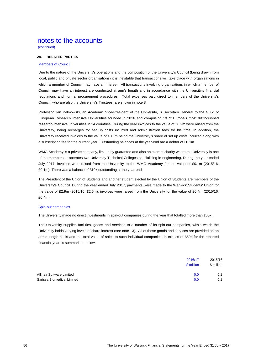(continued)

### **28. RELATED PARTIES**

#### Members of Council

Due to the nature of the University's operations and the composition of the University's Council (being drawn from local, public and private sector organisations) it is inevitable that transactions will take place with organisations in which a member of Council may have an interest. All transactions involving organisations in which a member of Council may have an interest are conducted at arm's length and in accordance with the University's financial regulations and normal procurement procedures. Total expenses paid direct to members of the University's Council, who are also the University's Trustees, are shown in note 8.

Professor Jan Palmowski, an Academic Vice-President of the University, is Secretary General to the Guild of European Research Intensive Universities founded in 2016 and comprising 19 of Europe's most distinguished research-intensive universities in 14 countries. During the year invoices to the value of £0.2m were raised from the University, being recharges for set up costs incurred and administration fees for his time. In addition, the University received invoices to the value of £0.1m being the University's share of set up costs incurred along with a subscription fee for the current year. Outstanding balances at the year-end are a debtor of £0.1m.

WMG Academy is a private company, limited by guarantee and also an exempt charity where the University is one of the members. It operates two University Technical Colleges specialising in engineering. During the year ended July 2017, invoices were raised from the University to the WMG Academy for the value of £0.1m (2015/16: £0.1m). There was a balance of £10k outstanding at the year-end.

The President of the Union of Students and another student elected by the Union of Students are members of the University's Council. During the year ended July 2017, payments were made to the Warwick Students' Union for the value of £2.9m (2015/16: £2.6m), invoices were raised from the University for the value of £0.4m (2015/16: £0.4m).

### Spin-out companies

The University made no direct investments in spin-out companies during the year that totalled more than £50k.

The University supplies facilities, goods and services to a number of its spin-out companies, within which the University holds varying levels of share interest (see note 13). All of these goods and services are provided on an arm's length basis and the total value of sales to such individual companies, in excess of £50k for the reported financial year, is summarised below:

|                            | 2016/17<br>£ million | 2015/16<br>£ million |
|----------------------------|----------------------|----------------------|
| Allinea Software Limited   | 0.0                  | 0.1                  |
| Sarissa Biomedical Limited | 0.0                  | 0.1                  |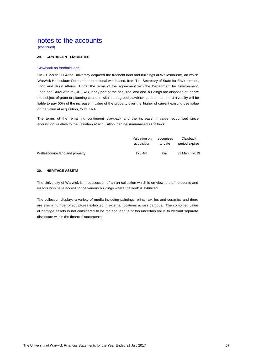(continued)

### **29. CONTINGENT LIABILITIES**

### Clawback on freehold land:-

On 31 March 2004 the University acquired the freehold land and buildings at Wellesbourne, on which Warwick Horticulture Research International was based, from The Secretary of State for Environment , Food and Rural Affairs. Under the terms of the agreement with the Department for Environment, Food and Rural Affairs (DEFRA), if any part of the acquired land and buildings are disposed of, or are the subject of grant or planning consent, within an agreed clawback period, then the U niversity will be liable to pay 50% of the increase in value of the property over the higher of current existing use value or the value at acquisition, to DEFRA.

The terms of the remaining contingent clawback and the increase in value recognised since acquisition, relative to the valuation at acquisition, can be summarised as follows:

|                                | Valuation on | recognised | Clawback       |
|--------------------------------|--------------|------------|----------------|
|                                | acquisition  | to date    | period expires |
| Wellesbourne land and property | £20.4m       | £nil       | 31 March 2019  |

### **30. HERITAGE ASSETS**

The University of Warwick is in possession of an art collection which is on view to staff, students and visitors who have access to the various buildings where the work is exhibited.

The collection displays a variety of media including paintings, prints, textiles and ceramics and there are also a number of sculptures exhibited in external locations across campus. The combined value of heritage assets is not considered to be material and is of too uncertain value to warrant separate disclosure within the financial statements.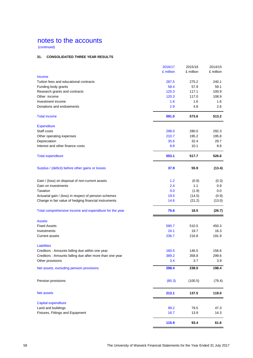(continued)

### **31. CONSOLIDATED THREE YEAR RESULTS**

|                                                         | 2016/17   | 2015/16   | 2014/15   |
|---------------------------------------------------------|-----------|-----------|-----------|
|                                                         | £ million | £ million | £ million |
| Income<br>Tuition fees and educational contracts        | 287.5     | 275.2     | 240.1     |
| Funding body grants                                     | 58.4      | 57.9      | 59.1      |
| Research grants and contracts                           | 120.3     | 117.1     | 100.9     |
| Other income                                            | 120.3     | 117.0     | 108.9     |
| Investment income                                       | 1.6       | 1.6       | 1.6       |
| Donations and endowments                                | 2.9       | 4.8       | 2.6       |
|                                                         |           |           |           |
| <b>Total income</b>                                     | 591.0     | 573.6     | 513.2     |
| <b>Expenditure</b>                                      |           |           |           |
| Staff costs                                             | 298.0     | 280.0     | 292.3     |
| Other operating expenses                                | 210.7     | 195.2     | 195.8     |
| Depreciation                                            | 35.6      | 32.4      | 29.7      |
| Interest and other finance costs                        | 8.8       | 10.1      | 8.8       |
| <b>Total expenditure</b>                                | 553.1     | 517.7     | 526.6     |
| Surplus / (deficit) before other gains or losses        | 37.9      | 55.9      | (13.4)    |
| Gain / (loss) on disposal of non-current assets         | 1.2       | (0.9)     | (0.3)     |
| Gain on investments                                     | 2.4       | 1.1       | 0.9       |
| Taxation                                                | 0.0       | (1.9)     | 0.0       |
| Actuarial gain / (loss) in respect of pension schemes   | 19.5      | (14.5)    | (0.9)     |
| Change in fair value of hedging financial instruments   | 14.6      | (21.2)    | (13.0)    |
| Total comprehensive income and expenditure for the year | 75.6      | 18.5      | (26.7)    |
| <b>Assets</b>                                           |           |           |           |
| <b>Fixed Assets</b>                                     | 590.7     | 510.5     | 450.3     |
| Investments                                             | 24.1      | 19.7      | 16.3      |
| <b>Current assets</b>                                   | 236.7     | 216.8     | 191.9     |
| <b>Liabilities</b>                                      |           |           |           |
| Creditors : Amounts falling due within one year         | 160.5     | 146.5     | 156.6     |
| Creditors: Amounts falling due after more than one year | 389.2     | 358.8     | 299.6     |
| Other provisions                                        | 3.4       | 3.7       | 3.9       |
| Net assets, excluding pension provisions                | 298.4     | 238.0     | 198.4     |
| Pension provisions                                      | (85.3)    | (100.5)   | (79.4)    |
| <b>Net assets</b>                                       | 213.1     | 137.5     | 119.0     |
| Capital expenditure                                     |           |           |           |
| Land and buildings                                      | 99.2      | 79.5      | 47.3      |
| Fixtures, Fittings and Equipment                        | 16.7      | 13.9      | 14.3      |
|                                                         | 115.9     | 93.4      | 61.6      |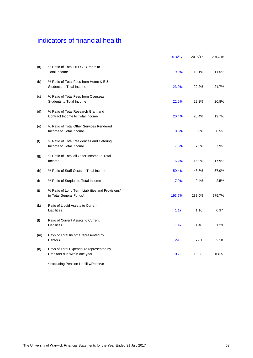# indicators of financial health

|     |                                                                             | 2016/17 | 2015/16 | 2014/15 |
|-----|-----------------------------------------------------------------------------|---------|---------|---------|
| (a) | % Ratio of Total HEFCE Grants to<br><b>Total Income</b>                     | 9.9%    | 10.1%   | 11.5%   |
| (b) | % Ratio of Total Fees from Home & EU<br><b>Students to Total Income</b>     | 23.0%   | 22.2%   | 21.7%   |
| (c) | % Ratio of Total Fees from Overseas<br><b>Students to Total Income</b>      | 22.5%   | 22.2%   | 20.8%   |
| (d) | % Ratio of Total Research Grant and<br>Contract Income to Total Income      | 20.4%   | 20.4%   | 19.7%   |
| (e) | % Ratio of Total Other Services Rendered<br>Income to Total Income          | 0.5%    | 0.8%    | 0.5%    |
| (f) | % Ratio of Total Residences and Catering<br>Income to Total Income          | 7.5%    | 7.3%    | 7.9%    |
| (g) | % Ratio of Total all Other Income to Total<br>Income                        | 16.2%   | 16.9%   | 17.9%   |
| (h) | % Ratio of Staff Costs to Total Income                                      | 50.4%   | 48.8%   | 57.0%   |
| (i) | % Ratio of Surplus to Total Income                                          | 7.0%    | 9.4%    | $-2.5%$ |
| (j) | % Ratio of Long Term Liabilities and Provisions*<br>to Total General Funds* | 193.7%  | 283.0%  | 275.7%  |
| (k) | Ratio of Liquid Assets to Current<br>Liabilities                            | 1.17    | 1.16    | 0.97    |
| (1) | Ratio of Current Assets to Current<br>Liabilities                           | 1.47    | 1.48    | 1.23    |
| (m) | Days of Total Income represented by<br><b>Debtors</b>                       | 29.6    | 29.1    | 27.8    |
| (n) | Days of Total Expenditure represented by<br>Creditors due within one year   | 105.9   | 103.3   | 108.5   |

\* excluding Pension Liability/Reserve